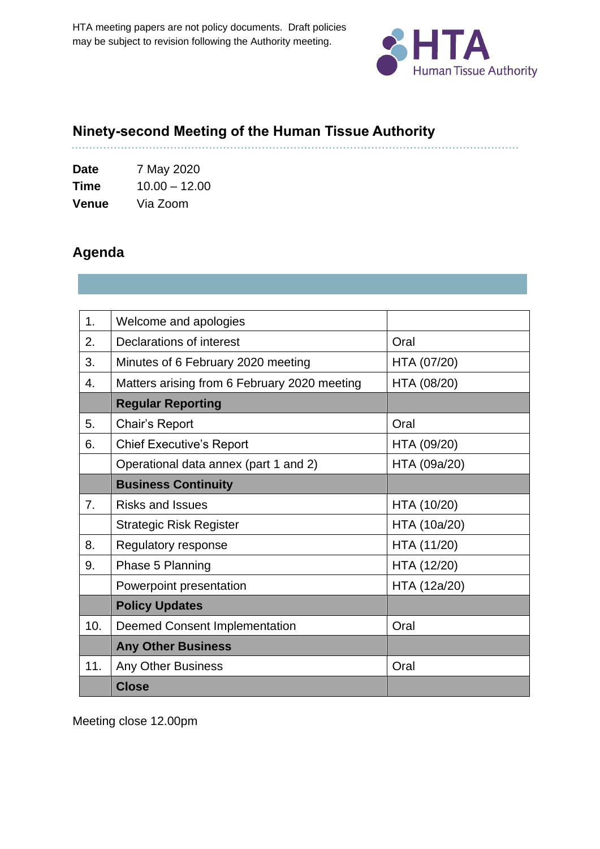

. . . . . . . . . . . . .

## **Ninety-second Meeting of the Human Tissue Authority**

**Date** 7 May 2020 **Time** 10.00 – 12.00 **Venue** Via Zoom

## **Agenda**

. . . . . . . . . .

| 1 <sub>1</sub> | Welcome and apologies                        |              |
|----------------|----------------------------------------------|--------------|
| 2.             | <b>Declarations of interest</b>              | Oral         |
| 3.             | Minutes of 6 February 2020 meeting           | HTA (07/20)  |
| 4.             | Matters arising from 6 February 2020 meeting | HTA (08/20)  |
|                | <b>Regular Reporting</b>                     |              |
| 5.             | Chair's Report                               | Oral         |
| 6.             | <b>Chief Executive's Report</b>              | HTA (09/20)  |
|                | Operational data annex (part 1 and 2)        | HTA (09a/20) |
|                | <b>Business Continuity</b>                   |              |
| 7.             | <b>Risks and Issues</b>                      | HTA (10/20)  |
|                | <b>Strategic Risk Register</b>               | HTA (10a/20) |
| 8.             | Regulatory response                          | HTA (11/20)  |
| 9.             | Phase 5 Planning                             | HTA (12/20)  |
|                | Powerpoint presentation                      | HTA (12a/20) |
|                | <b>Policy Updates</b>                        |              |
| 10.            | <b>Deemed Consent Implementation</b>         | Oral         |
|                | <b>Any Other Business</b>                    |              |
| 11.            | <b>Any Other Business</b>                    | Oral         |
|                | <b>Close</b>                                 |              |

Meeting close 12.00pm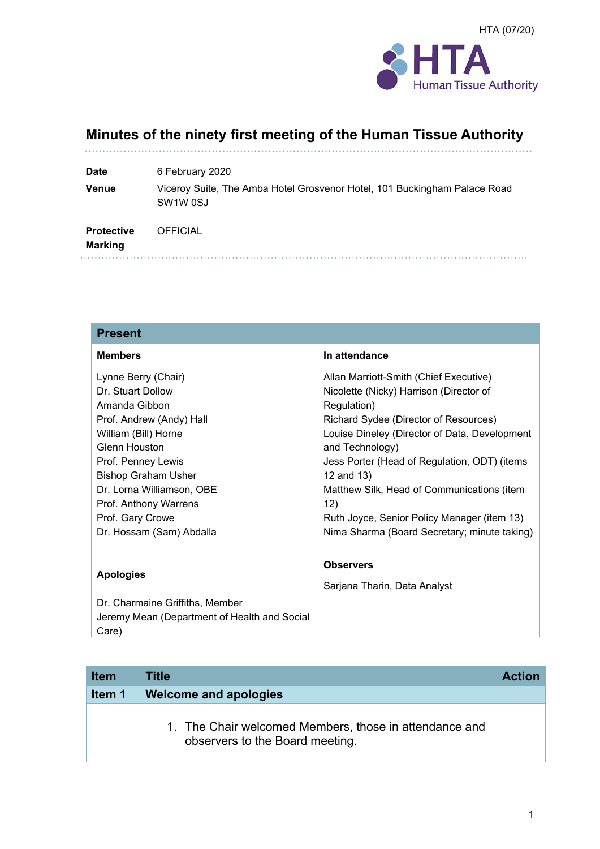

# **Minutes of the ninety first meeting of the Human Tissue Authority**

| <b>Date</b>                         | 6 February 2020                                                                                               |
|-------------------------------------|---------------------------------------------------------------------------------------------------------------|
| <b>Venue</b>                        | Viceroy Suite, The Amba Hotel Grosvenor Hotel, 101 Buckingham Palace Road<br>SW <sub>1</sub> W <sub>0SJ</sub> |
| <b>Protective</b><br><b>Marking</b> | <b>OFFICIAL</b>                                                                                               |
|                                     |                                                                                                               |

| <b>Present</b>                                                                                                                                                                                                                           |                                                                                                                                                                                                                                                                                                                                  |
|------------------------------------------------------------------------------------------------------------------------------------------------------------------------------------------------------------------------------------------|----------------------------------------------------------------------------------------------------------------------------------------------------------------------------------------------------------------------------------------------------------------------------------------------------------------------------------|
| <b>Members</b>                                                                                                                                                                                                                           | In attendance                                                                                                                                                                                                                                                                                                                    |
| Lynne Berry (Chair)<br>Dr. Stuart Dollow<br>Amanda Gibbon<br>Prof. Andrew (Andy) Hall<br>William (Bill) Horne<br>Glenn Houston<br>Prof. Penney Lewis<br><b>Bishop Graham Usher</b><br>Dr. Lorna Williamson, OBE<br>Prof. Anthony Warrens | Allan Marriott-Smith (Chief Executive)<br>Nicolette (Nicky) Harrison (Director of<br>Regulation)<br>Richard Sydee (Director of Resources)<br>Louise Dineley (Director of Data, Development<br>and Technology)<br>Jess Porter (Head of Regulation, ODT) (items<br>12 and 13)<br>Matthew Silk, Head of Communications (item<br>12) |
| Prof. Gary Crowe<br>Dr. Hossam (Sam) Abdalla                                                                                                                                                                                             | Ruth Joyce, Senior Policy Manager (item 13)<br>Nima Sharma (Board Secretary; minute taking)                                                                                                                                                                                                                                      |
| <b>Apologies</b><br>Dr. Charmaine Griffiths, Member<br>Jeremy Mean (Department of Health and Social<br>Care)                                                                                                                             | <b>Observers</b><br>Sarjana Tharin, Data Analyst                                                                                                                                                                                                                                                                                 |

| <b>Item</b> | Title                                                                                     | <b>Action</b> |
|-------------|-------------------------------------------------------------------------------------------|---------------|
| Item 1      | <b>Welcome and apologies</b>                                                              |               |
|             | 1. The Chair welcomed Members, those in attendance and<br>observers to the Board meeting. |               |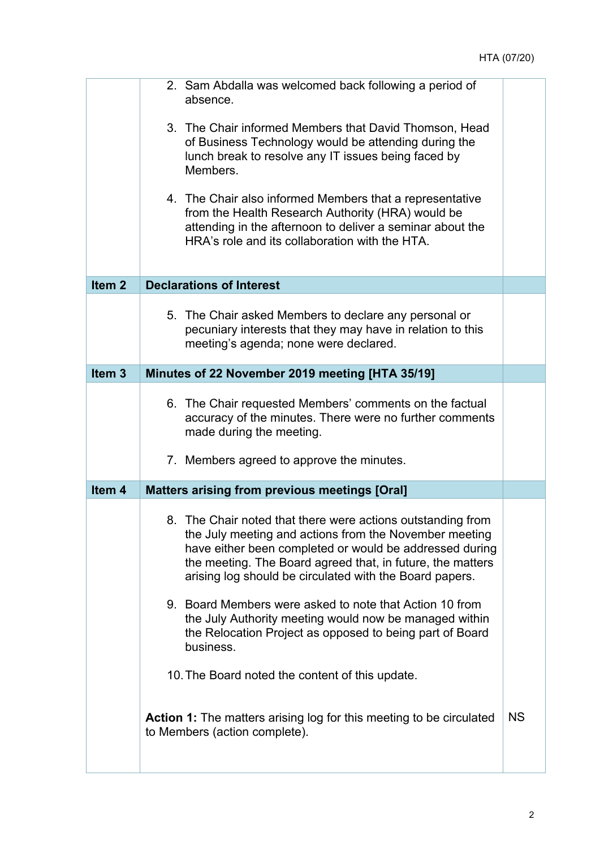|                   | 2. Sam Abdalla was welcomed back following a period of<br>absence.                                                                                                                                                                                                                                        |           |
|-------------------|-----------------------------------------------------------------------------------------------------------------------------------------------------------------------------------------------------------------------------------------------------------------------------------------------------------|-----------|
|                   | 3. The Chair informed Members that David Thomson, Head<br>of Business Technology would be attending during the<br>lunch break to resolve any IT issues being faced by<br>Members.                                                                                                                         |           |
|                   | 4. The Chair also informed Members that a representative<br>from the Health Research Authority (HRA) would be<br>attending in the afternoon to deliver a seminar about the<br>HRA's role and its collaboration with the HTA.                                                                              |           |
| Item <sub>2</sub> | <b>Declarations of Interest</b>                                                                                                                                                                                                                                                                           |           |
|                   | 5. The Chair asked Members to declare any personal or<br>pecuniary interests that they may have in relation to this<br>meeting's agenda; none were declared.                                                                                                                                              |           |
| Item <sub>3</sub> | Minutes of 22 November 2019 meeting [HTA 35/19]                                                                                                                                                                                                                                                           |           |
|                   | 6. The Chair requested Members' comments on the factual<br>accuracy of the minutes. There were no further comments<br>made during the meeting.                                                                                                                                                            |           |
|                   | 7. Members agreed to approve the minutes.                                                                                                                                                                                                                                                                 |           |
| Item <sub>4</sub> | <b>Matters arising from previous meetings [Oral]</b>                                                                                                                                                                                                                                                      |           |
|                   | 8. The Chair noted that there were actions outstanding from<br>the July meeting and actions from the November meeting<br>have either been completed or would be addressed during<br>the meeting. The Board agreed that, in future, the matters<br>arising log should be circulated with the Board papers. |           |
|                   | 9. Board Members were asked to note that Action 10 from<br>the July Authority meeting would now be managed within<br>the Relocation Project as opposed to being part of Board<br>business.                                                                                                                |           |
|                   | 10. The Board noted the content of this update.                                                                                                                                                                                                                                                           |           |
|                   | <b>Action 1:</b> The matters arising log for this meeting to be circulated<br>to Members (action complete).                                                                                                                                                                                               | <b>NS</b> |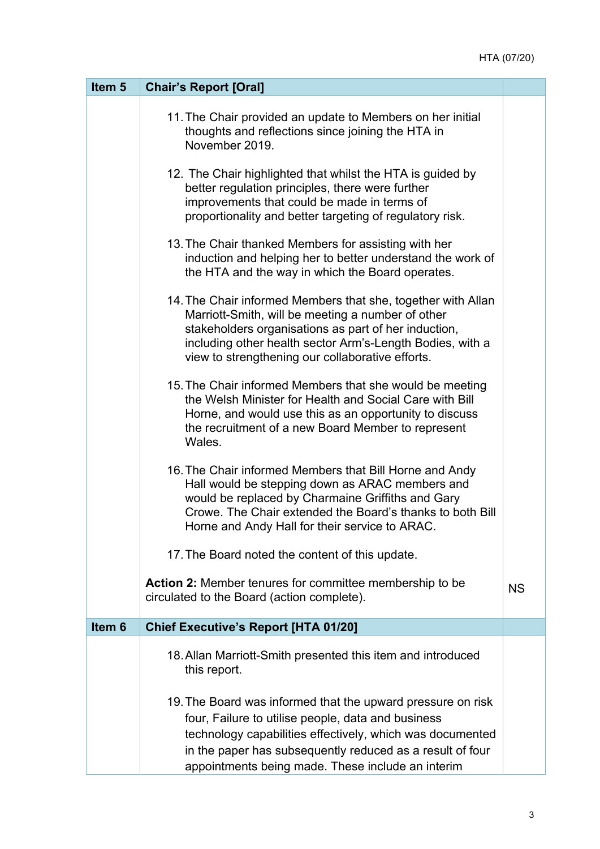| Item <sub>5</sub> | <b>Chair's Report [Oral]</b>                                                                                                                                                                                                                                                                     |           |
|-------------------|--------------------------------------------------------------------------------------------------------------------------------------------------------------------------------------------------------------------------------------------------------------------------------------------------|-----------|
|                   | 11. The Chair provided an update to Members on her initial<br>thoughts and reflections since joining the HTA in<br>November 2019.                                                                                                                                                                |           |
|                   | 12. The Chair highlighted that whilst the HTA is guided by<br>better regulation principles, there were further<br>improvements that could be made in terms of<br>proportionality and better targeting of regulatory risk.                                                                        |           |
|                   | 13. The Chair thanked Members for assisting with her<br>induction and helping her to better understand the work of<br>the HTA and the way in which the Board operates.                                                                                                                           |           |
|                   | 14. The Chair informed Members that she, together with Allan<br>Marriott-Smith, will be meeting a number of other<br>stakeholders organisations as part of her induction,<br>including other health sector Arm's-Length Bodies, with a<br>view to strengthening our collaborative efforts.       |           |
|                   | 15. The Chair informed Members that she would be meeting<br>the Welsh Minister for Health and Social Care with Bill<br>Horne, and would use this as an opportunity to discuss<br>the recruitment of a new Board Member to represent<br>Wales.                                                    |           |
|                   | 16. The Chair informed Members that Bill Horne and Andy<br>Hall would be stepping down as ARAC members and<br>would be replaced by Charmaine Griffiths and Gary<br>Crowe. The Chair extended the Board's thanks to both Bill<br>Horne and Andy Hall for their service to ARAC.                   |           |
|                   | 17. The Board noted the content of this update.                                                                                                                                                                                                                                                  |           |
|                   | Action 2: Member tenures for committee membership to be<br>circulated to the Board (action complete).                                                                                                                                                                                            | <b>NS</b> |
| Item <sub>6</sub> | <b>Chief Executive's Report [HTA 01/20]</b>                                                                                                                                                                                                                                                      |           |
|                   | 18. Allan Marriott-Smith presented this item and introduced<br>this report.                                                                                                                                                                                                                      |           |
|                   | 19. The Board was informed that the upward pressure on risk<br>four, Failure to utilise people, data and business<br>technology capabilities effectively, which was documented<br>in the paper has subsequently reduced as a result of four<br>appointments being made. These include an interim |           |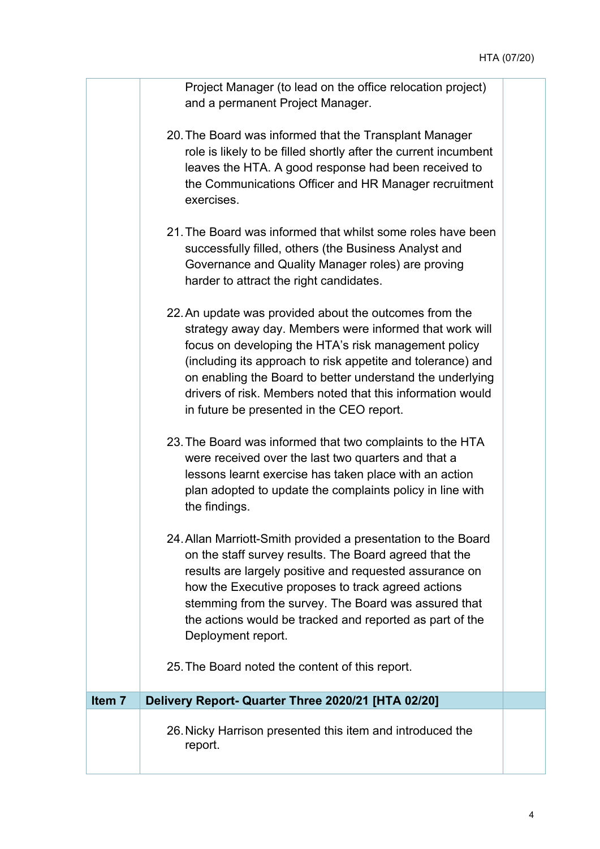Project Manager (to lead on the office relocation project) and a permanent Project Manager.

- 20. The Board was informed that the Transplant Manager role is likely to be filled shortly after the current incumbent leaves the HTA. A good response had been received to the Communications Officer and HR Manager recruitment exercises.
- 21. The Board was informed that whilst some roles have been successfully filled, others (the Business Analyst and Governance and Quality Manager roles) are proving harder to attract the right candidates.
- 22. An update was provided about the outcomes from the strategy away day. Members were informed that work will focus on developing the HTA's risk management policy (including its approach to risk appetite and tolerance) and on enabling the Board to better understand the underlying drivers of risk. Members noted that this information would in future be presented in the CEO report.
- 23. The Board was informed that two complaints to the HTA were received over the last two quarters and that a lessons learnt exercise has taken place with an action plan adopted to update the complaints policy in line with the findings.
- 24. Allan Marriott-Smith provided a presentation to the Board on the staff survey results. The Board agreed that the results are largely positive and requested assurance on how the Executive proposes to track agreed actions stemming from the survey. The Board was assured that the actions would be tracked and reported as part of the Deployment report.
- 25. The Board noted the content of this report.

**Item 7 Delivery Report- Quarter Three 2020/21 [HTA 02/20]**  26. Nicky Harrison presented this item and introduced the report.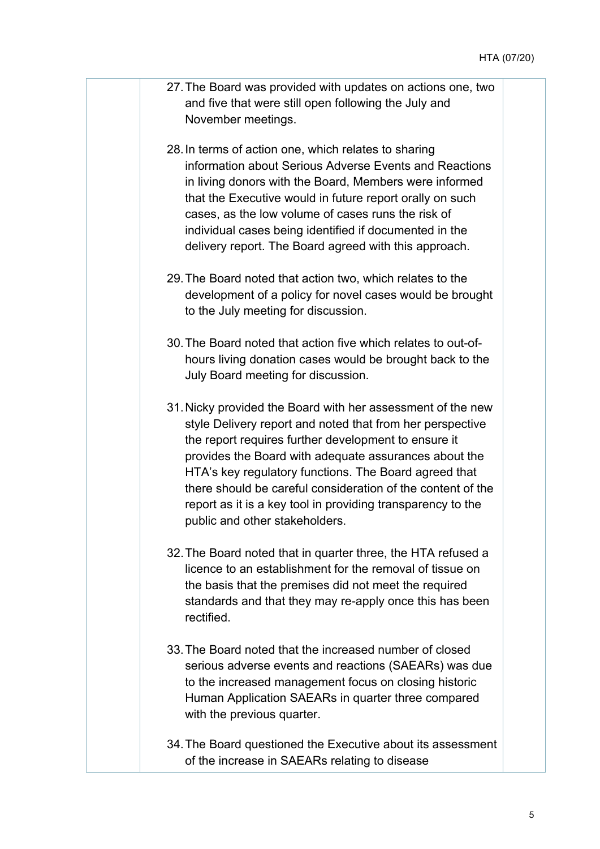- 27. The Board was provided with updates on actions one, two and five that were still open following the July and November meetings.
- 28. In terms of action one, which relates to sharing information about Serious Adverse Events and Reactions in living donors with the Board, Members were informed that the Executive would in future report orally on such cases, as the low volume of cases runs the risk of individual cases being identified if documented in the delivery report. The Board agreed with this approach.
- 29. The Board noted that action two, which relates to the development of a policy for novel cases would be brought to the July meeting for discussion.
- 30. The Board noted that action five which relates to out-ofhours living donation cases would be brought back to the July Board meeting for discussion.
- 31. Nicky provided the Board with her assessment of the new style Delivery report and noted that from her perspective the report requires further development to ensure it provides the Board with adequate assurances about the HTA's key regulatory functions. The Board agreed that there should be careful consideration of the content of the report as it is a key tool in providing transparency to the public and other stakeholders.
- 32. The Board noted that in quarter three, the HTA refused a licence to an establishment for the removal of tissue on the basis that the premises did not meet the required standards and that they may re-apply once this has been rectified.
- 33. The Board noted that the increased number of closed serious adverse events and reactions (SAEARs) was due to the increased management focus on closing historic Human Application SAEARs in quarter three compared with the previous quarter.
- 34. The Board questioned the Executive about its assessment of the increase in SAEARs relating to disease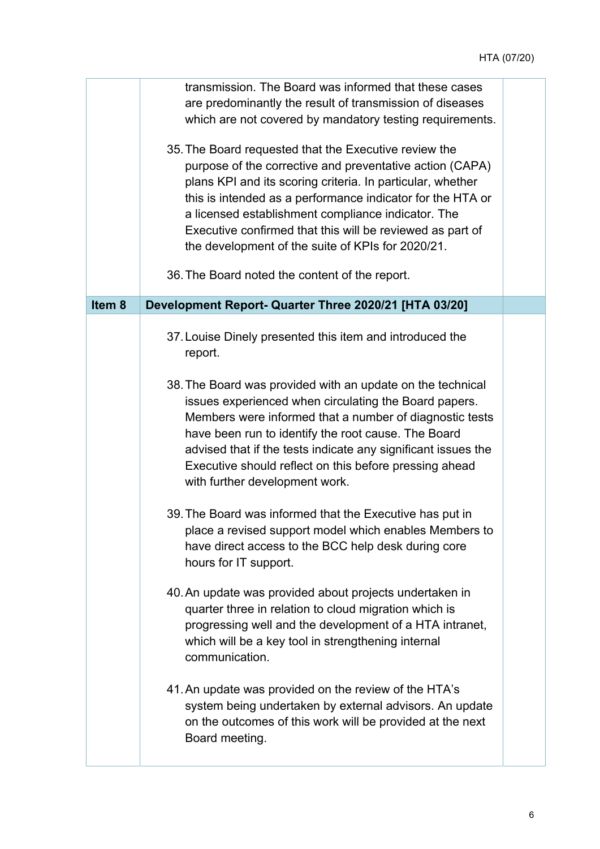|        | transmission. The Board was informed that these cases<br>are predominantly the result of transmission of diseases<br>which are not covered by mandatory testing requirements.                                                                                                                                                                                                                                         |  |
|--------|-----------------------------------------------------------------------------------------------------------------------------------------------------------------------------------------------------------------------------------------------------------------------------------------------------------------------------------------------------------------------------------------------------------------------|--|
|        | 35. The Board requested that the Executive review the<br>purpose of the corrective and preventative action (CAPA)<br>plans KPI and its scoring criteria. In particular, whether<br>this is intended as a performance indicator for the HTA or<br>a licensed establishment compliance indicator. The<br>Executive confirmed that this will be reviewed as part of<br>the development of the suite of KPIs for 2020/21. |  |
|        | 36. The Board noted the content of the report.                                                                                                                                                                                                                                                                                                                                                                        |  |
| Item 8 | Development Report- Quarter Three 2020/21 [HTA 03/20]                                                                                                                                                                                                                                                                                                                                                                 |  |
|        | 37. Louise Dinely presented this item and introduced the<br>report.                                                                                                                                                                                                                                                                                                                                                   |  |
|        | 38. The Board was provided with an update on the technical<br>issues experienced when circulating the Board papers.<br>Members were informed that a number of diagnostic tests<br>have been run to identify the root cause. The Board<br>advised that if the tests indicate any significant issues the<br>Executive should reflect on this before pressing ahead<br>with further development work.                    |  |
|        | 39. The Board was informed that the Executive has put in<br>place a revised support model which enables Members to<br>have direct access to the BCC help desk during core<br>hours for IT support.                                                                                                                                                                                                                    |  |
|        | 40. An update was provided about projects undertaken in<br>quarter three in relation to cloud migration which is<br>progressing well and the development of a HTA intranet,<br>which will be a key tool in strengthening internal<br>communication.                                                                                                                                                                   |  |
|        | 41. An update was provided on the review of the HTA's<br>system being undertaken by external advisors. An update<br>on the outcomes of this work will be provided at the next<br>Board meeting.                                                                                                                                                                                                                       |  |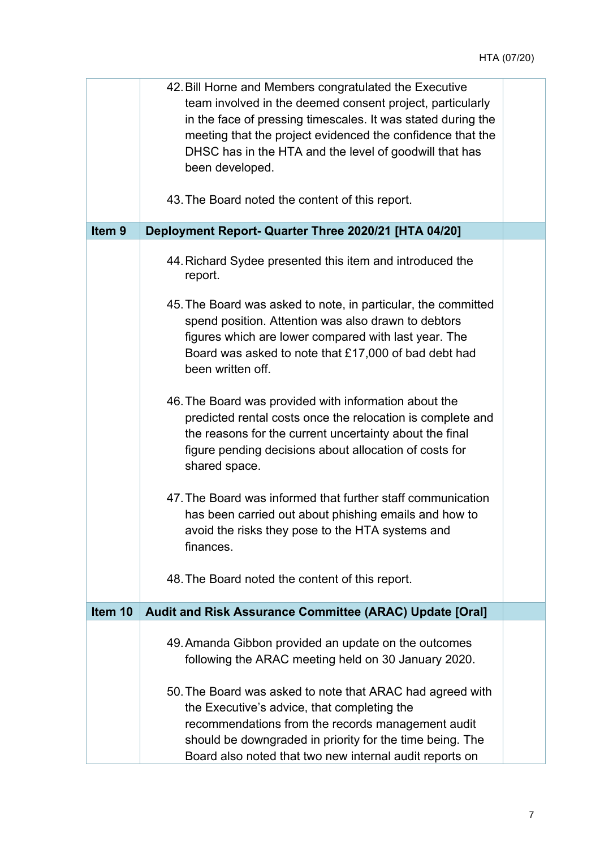|                   | 42. Bill Horne and Members congratulated the Executive<br>team involved in the deemed consent project, particularly<br>in the face of pressing timescales. It was stated during the<br>meeting that the project evidenced the confidence that the<br>DHSC has in the HTA and the level of goodwill that has<br>been developed. |  |
|-------------------|--------------------------------------------------------------------------------------------------------------------------------------------------------------------------------------------------------------------------------------------------------------------------------------------------------------------------------|--|
|                   | 43. The Board noted the content of this report.                                                                                                                                                                                                                                                                                |  |
| Item <sub>9</sub> | Deployment Report- Quarter Three 2020/21 [HTA 04/20]                                                                                                                                                                                                                                                                           |  |
|                   | 44. Richard Sydee presented this item and introduced the<br>report.                                                                                                                                                                                                                                                            |  |
|                   | 45. The Board was asked to note, in particular, the committed<br>spend position. Attention was also drawn to debtors<br>figures which are lower compared with last year. The<br>Board was asked to note that £17,000 of bad debt had<br>been written off.                                                                      |  |
|                   | 46. The Board was provided with information about the<br>predicted rental costs once the relocation is complete and<br>the reasons for the current uncertainty about the final<br>figure pending decisions about allocation of costs for<br>shared space.                                                                      |  |
|                   | 47. The Board was informed that further staff communication<br>has been carried out about phishing emails and how to<br>avoid the risks they pose to the HTA systems and<br>finances.                                                                                                                                          |  |
|                   | 48. The Board noted the content of this report.                                                                                                                                                                                                                                                                                |  |
| Item 10           | Audit and Risk Assurance Committee (ARAC) Update [Oral]                                                                                                                                                                                                                                                                        |  |
|                   | 49. Amanda Gibbon provided an update on the outcomes<br>following the ARAC meeting held on 30 January 2020.                                                                                                                                                                                                                    |  |
|                   | 50. The Board was asked to note that ARAC had agreed with<br>the Executive's advice, that completing the<br>recommendations from the records management audit<br>should be downgraded in priority for the time being. The<br>Board also noted that two new internal audit reports on                                           |  |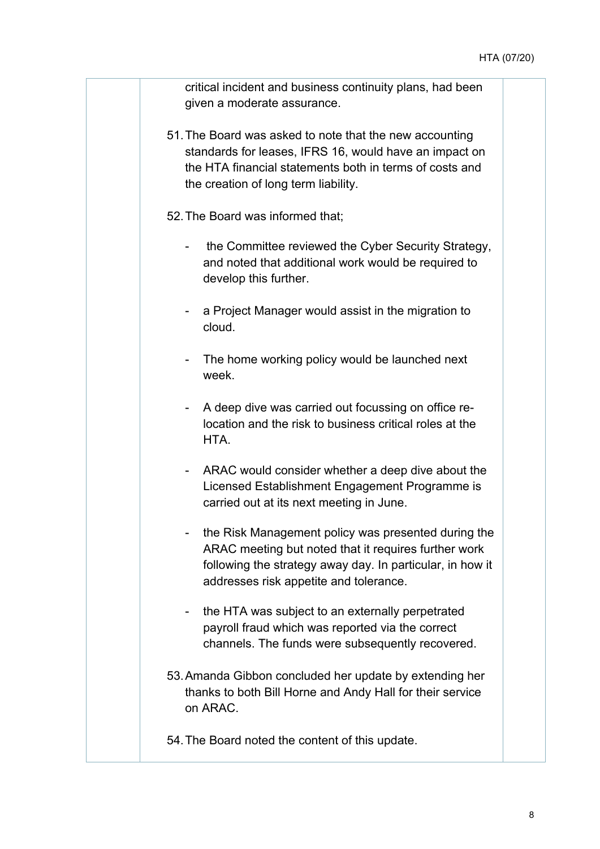critical incident and business continuity plans, had been given a moderate assurance.

- 51. The Board was asked to note that the new accounting standards for leases, IFRS 16, would have an impact on the HTA financial statements both in terms of costs and the creation of long term liability.
- 52. The Board was informed that;
	- the Committee reviewed the Cyber Security Strategy, and noted that additional work would be required to develop this further.
	- a Project Manager would assist in the migration to cloud.
	- The home working policy would be launched next week.
	- A deep dive was carried out focussing on office relocation and the risk to business critical roles at the **HTA**
	- ARAC would consider whether a deep dive about the Licensed Establishment Engagement Programme is carried out at its next meeting in June.
	- the Risk Management policy was presented during the ARAC meeting but noted that it requires further work following the strategy away day. In particular, in how it addresses risk appetite and tolerance.
	- the HTA was subject to an externally perpetrated payroll fraud which was reported via the correct channels. The funds were subsequently recovered.
- 53. Amanda Gibbon concluded her update by extending her thanks to both Bill Horne and Andy Hall for their service on ARAC.
- 54. The Board noted the content of this update.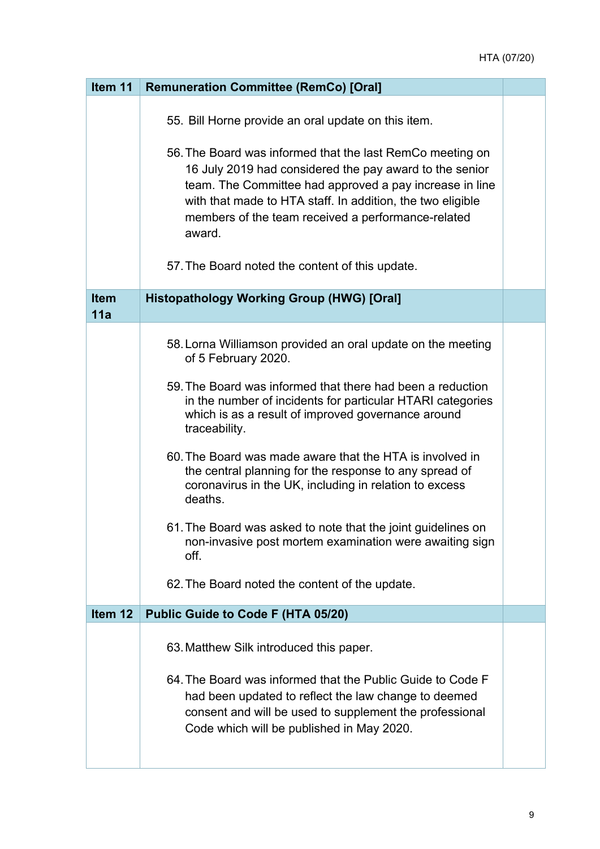| Item 11            | <b>Remuneration Committee (RemCo) [Oral]</b>                                                                                                                                                                                                                                                                                                                                                                                                                                                                                                                                                                                                                          |  |
|--------------------|-----------------------------------------------------------------------------------------------------------------------------------------------------------------------------------------------------------------------------------------------------------------------------------------------------------------------------------------------------------------------------------------------------------------------------------------------------------------------------------------------------------------------------------------------------------------------------------------------------------------------------------------------------------------------|--|
|                    | 55. Bill Horne provide an oral update on this item.<br>56. The Board was informed that the last RemCo meeting on<br>16 July 2019 had considered the pay award to the senior<br>team. The Committee had approved a pay increase in line<br>with that made to HTA staff. In addition, the two eligible<br>members of the team received a performance-related<br>award.<br>57. The Board noted the content of this update.                                                                                                                                                                                                                                               |  |
| <b>Item</b><br>11a | <b>Histopathology Working Group (HWG) [Oral]</b>                                                                                                                                                                                                                                                                                                                                                                                                                                                                                                                                                                                                                      |  |
|                    | 58. Lorna Williamson provided an oral update on the meeting<br>of 5 February 2020.<br>59. The Board was informed that there had been a reduction<br>in the number of incidents for particular HTARI categories<br>which is as a result of improved governance around<br>traceability.<br>60. The Board was made aware that the HTA is involved in<br>the central planning for the response to any spread of<br>coronavirus in the UK, including in relation to excess<br>deaths.<br>61. The Board was asked to note that the joint guidelines on<br>non-invasive post mortem examination were awaiting sign<br>off.<br>62. The Board noted the content of the update. |  |
| Item 12            | Public Guide to Code F (HTA 05/20)                                                                                                                                                                                                                                                                                                                                                                                                                                                                                                                                                                                                                                    |  |
|                    | 63. Matthew Silk introduced this paper.<br>64. The Board was informed that the Public Guide to Code F<br>had been updated to reflect the law change to deemed<br>consent and will be used to supplement the professional<br>Code which will be published in May 2020.                                                                                                                                                                                                                                                                                                                                                                                                 |  |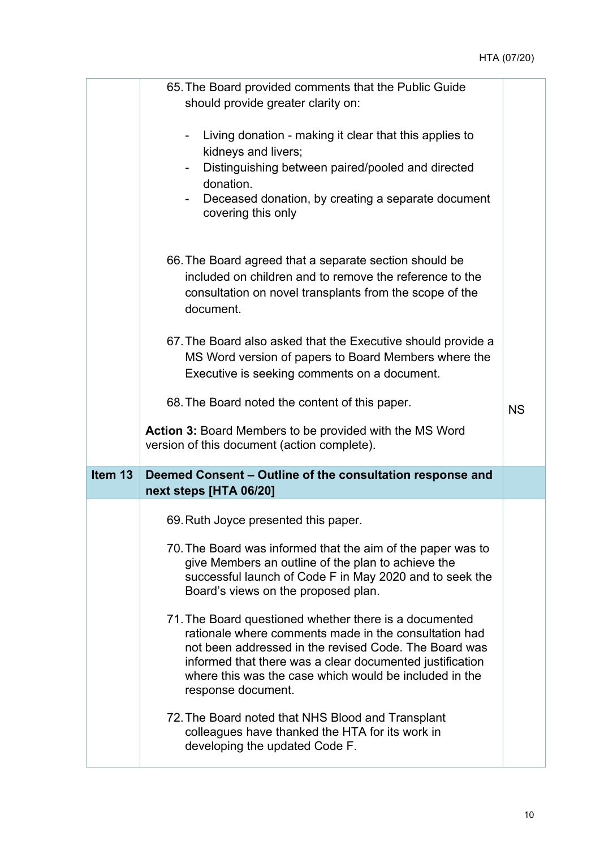|         | 65. The Board provided comments that the Public Guide<br>should provide greater clarity on:                                                                                                                                                                                                                          |           |
|---------|----------------------------------------------------------------------------------------------------------------------------------------------------------------------------------------------------------------------------------------------------------------------------------------------------------------------|-----------|
|         | Living donation - making it clear that this applies to<br>kidneys and livers;                                                                                                                                                                                                                                        |           |
|         | Distinguishing between paired/pooled and directed<br>donation.                                                                                                                                                                                                                                                       |           |
|         | Deceased donation, by creating a separate document<br>covering this only                                                                                                                                                                                                                                             |           |
|         | 66. The Board agreed that a separate section should be<br>included on children and to remove the reference to the<br>consultation on novel transplants from the scope of the<br>document.                                                                                                                            |           |
|         | 67. The Board also asked that the Executive should provide a<br>MS Word version of papers to Board Members where the<br>Executive is seeking comments on a document.                                                                                                                                                 |           |
|         | 68. The Board noted the content of this paper.                                                                                                                                                                                                                                                                       | <b>NS</b> |
|         | <b>Action 3: Board Members to be provided with the MS Word</b>                                                                                                                                                                                                                                                       |           |
|         | version of this document (action complete).                                                                                                                                                                                                                                                                          |           |
| Item 13 | Deemed Consent - Outline of the consultation response and<br>next steps [HTA 06/20]                                                                                                                                                                                                                                  |           |
|         | 69. Ruth Joyce presented this paper.                                                                                                                                                                                                                                                                                 |           |
|         | 70. The Board was informed that the aim of the paper was to<br>give Members an outline of the plan to achieve the<br>successful launch of Code F in May 2020 and to seek the<br>Board's views on the proposed plan.                                                                                                  |           |
|         | 71. The Board questioned whether there is a documented<br>rationale where comments made in the consultation had<br>not been addressed in the revised Code. The Board was<br>informed that there was a clear documented justification<br>where this was the case which would be included in the<br>response document. |           |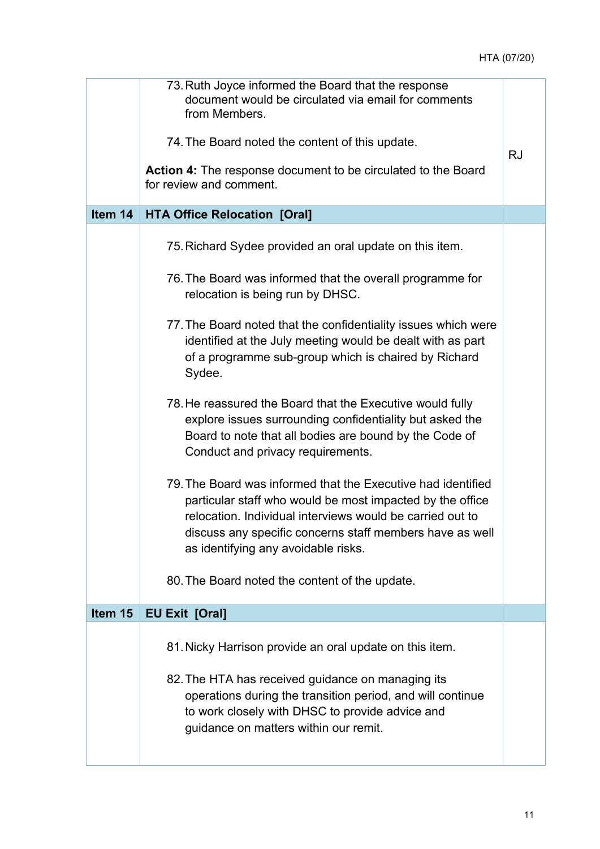| 73. Ruth Joyce informed the Board that the response<br>document would be circulated via email for comments<br>from Members.<br>74. The Board noted the content of this update.<br>Action 4: The response document to be circulated to the Board<br>for review and comment.                | <b>RJ</b> |
|-------------------------------------------------------------------------------------------------------------------------------------------------------------------------------------------------------------------------------------------------------------------------------------------|-----------|
| <b>HTA Office Relocation [Oral]</b>                                                                                                                                                                                                                                                       |           |
| 75. Richard Sydee provided an oral update on this item.                                                                                                                                                                                                                                   |           |
| 76. The Board was informed that the overall programme for<br>relocation is being run by DHSC.                                                                                                                                                                                             |           |
| 77. The Board noted that the confidentiality issues which were<br>identified at the July meeting would be dealt with as part<br>of a programme sub-group which is chaired by Richard<br>Sydee.                                                                                            |           |
| 78. He reassured the Board that the Executive would fully<br>explore issues surrounding confidentiality but asked the<br>Board to note that all bodies are bound by the Code of<br>Conduct and privacy requirements.                                                                      |           |
| 79. The Board was informed that the Executive had identified<br>particular staff who would be most impacted by the office<br>relocation. Individual interviews would be carried out to<br>discuss any specific concerns staff members have as well<br>as identifying any avoidable risks. |           |
| 80. The Board noted the content of the update.                                                                                                                                                                                                                                            |           |
| <b>EU Exit [Oral]</b>                                                                                                                                                                                                                                                                     |           |
| 81. Nicky Harrison provide an oral update on this item.                                                                                                                                                                                                                                   |           |
| 82. The HTA has received guidance on managing its<br>operations during the transition period, and will continue<br>to work closely with DHSC to provide advice and<br>guidance on matters within our remit.                                                                               |           |
|                                                                                                                                                                                                                                                                                           |           |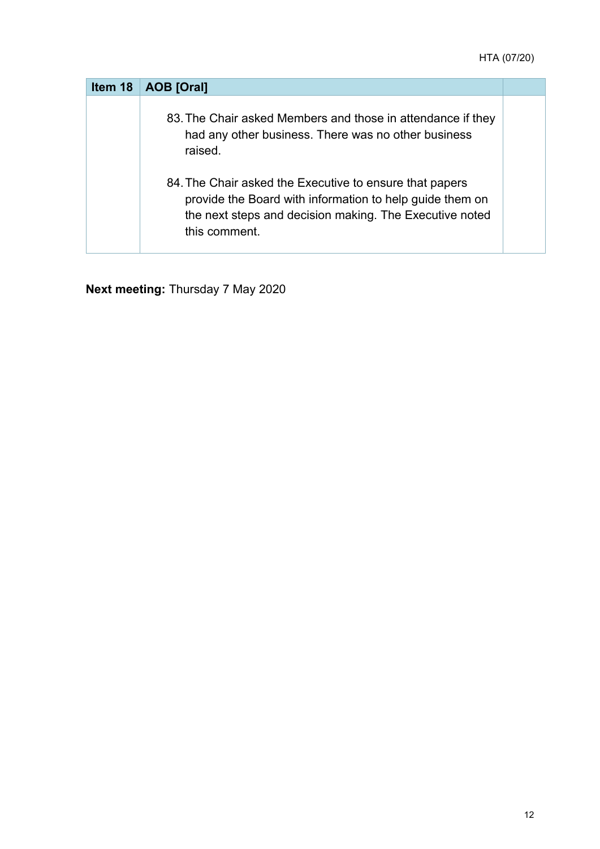| Item 18 | AOB [Oral]                                                                                                                                                                                      |  |
|---------|-------------------------------------------------------------------------------------------------------------------------------------------------------------------------------------------------|--|
|         | 83. The Chair asked Members and those in attendance if they<br>had any other business. There was no other business<br>raised.                                                                   |  |
|         | 84. The Chair asked the Executive to ensure that papers<br>provide the Board with information to help guide them on<br>the next steps and decision making. The Executive noted<br>this comment. |  |

**Next meeting:** Thursday 7 May 2020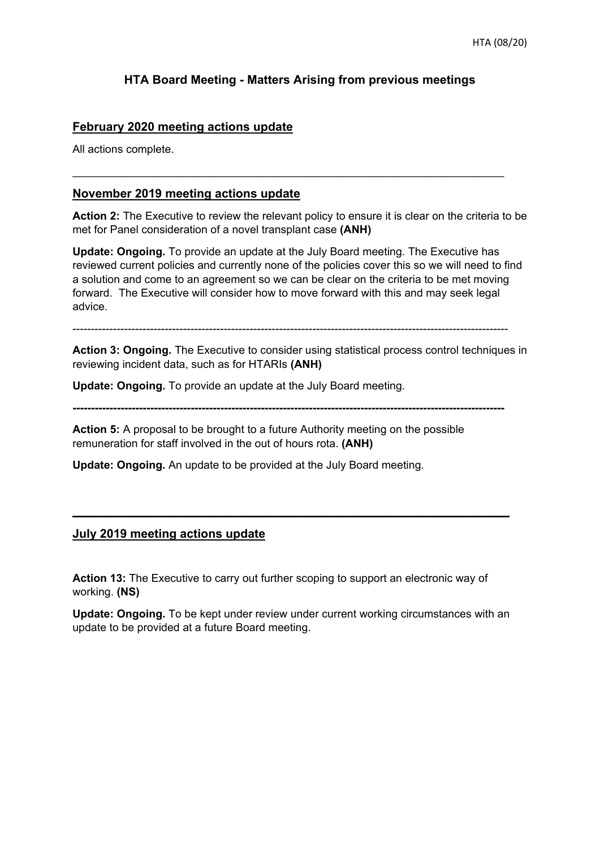#### **HTA Board Meeting - Matters Arising from previous meetings**

#### **February 2020 meeting actions update**

All actions complete.

#### **November 2019 meeting actions update**

**Action 2:** The Executive to review the relevant policy to ensure it is clear on the criteria to be met for Panel consideration of a novel transplant case **(ANH)** 

**Update: Ongoing.** To provide an update at the July Board meeting. The Executive has reviewed current policies and currently none of the policies cover this so we will need to find a solution and come to an agreement so we can be clear on the criteria to be met moving forward. The Executive will consider how to move forward with this and may seek legal advice.

----------------------------------------------------------------------------------------------------------------------

**Action 3: Ongoing.** The Executive to consider using statistical process control techniques in reviewing incident data, such as for HTARIs **(ANH)**

**Update: Ongoing.** To provide an update at the July Board meeting.

**---------------------------------------------------------------------------------------------------------------------** 

**Action 5:** A proposal to be brought to a future Authority meeting on the possible remuneration for staff involved in the out of hours rota. **(ANH)**

**Update: Ongoing.** An update to be provided at the July Board meeting.

#### **July 2019 meeting actions update**

**Action 13:** The Executive to carry out further scoping to support an electronic way of working. **(NS)** 

**Update: Ongoing.** To be kept under review under current working circumstances with an update to be provided at a future Board meeting.

**\_\_\_\_\_\_\_\_\_\_\_\_\_\_\_\_\_\_\_\_\_\_\_\_\_\_\_\_\_\_\_\_\_\_\_\_\_\_\_\_\_\_\_\_\_\_\_\_\_\_\_\_\_\_\_\_\_\_\_\_\_\_\_\_\_**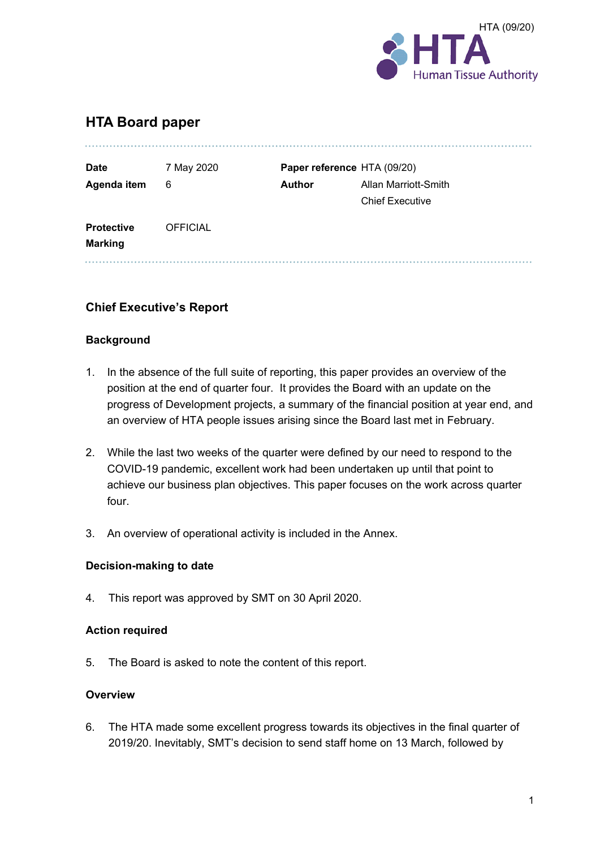

#### **HTA Board paper**

| <b>Date</b>                         | 7 May 2020      |               | Paper reference HTA (09/20) |
|-------------------------------------|-----------------|---------------|-----------------------------|
| Agenda item                         | 6               | <b>Author</b> | Allan Marriott-Smith        |
|                                     |                 |               | <b>Chief Executive</b>      |
| <b>Protective</b><br><b>Marking</b> | <b>OFFICIAL</b> |               |                             |

#### **Chief Executive's Report**

#### **Background**

- 1. In the absence of the full suite of reporting, this paper provides an overview of the position at the end of quarter four. It provides the Board with an update on the progress of Development projects, a summary of the financial position at year end, and an overview of HTA people issues arising since the Board last met in February.
- 2. While the last two weeks of the quarter were defined by our need to respond to the COVID-19 pandemic, excellent work had been undertaken up until that point to achieve our business plan objectives. This paper focuses on the work across quarter four.
- 3. An overview of operational activity is included in the Annex.

#### **Decision-making to date**

4. This report was approved by SMT on 30 April 2020.

#### **Action required**

5. The Board is asked to note the content of this report.

#### **Overview**

6. The HTA made some excellent progress towards its objectives in the final quarter of 2019/20. Inevitably, SMT's decision to send staff home on 13 March, followed by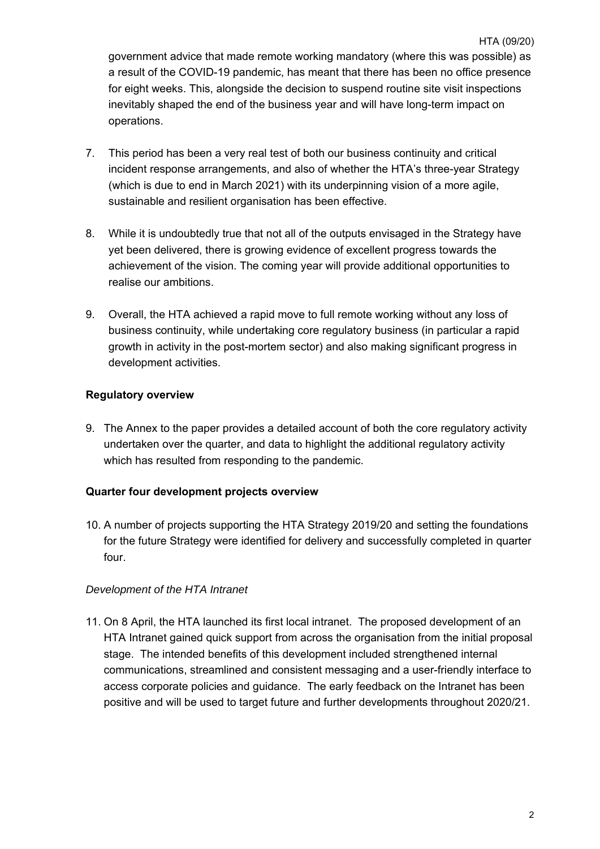HTA (09/20) government advice that made remote working mandatory (where this was possible) as a result of the COVID-19 pandemic, has meant that there has been no office presence for eight weeks. This, alongside the decision to suspend routine site visit inspections inevitably shaped the end of the business year and will have long-term impact on operations.

- 7. This period has been a very real test of both our business continuity and critical incident response arrangements, and also of whether the HTA's three-year Strategy (which is due to end in March 2021) with its underpinning vision of a more agile, sustainable and resilient organisation has been effective.
- 8. While it is undoubtedly true that not all of the outputs envisaged in the Strategy have yet been delivered, there is growing evidence of excellent progress towards the achievement of the vision. The coming year will provide additional opportunities to realise our ambitions.
- 9. Overall, the HTA achieved a rapid move to full remote working without any loss of business continuity, while undertaking core regulatory business (in particular a rapid growth in activity in the post-mortem sector) and also making significant progress in development activities.

#### **Regulatory overview**

9. The Annex to the paper provides a detailed account of both the core regulatory activity undertaken over the quarter, and data to highlight the additional regulatory activity which has resulted from responding to the pandemic.

#### **Quarter four development projects overview**

10. A number of projects supporting the HTA Strategy 2019/20 and setting the foundations for the future Strategy were identified for delivery and successfully completed in quarter four.

#### *Development of the HTA Intranet*

11. On 8 April, the HTA launched its first local intranet. The proposed development of an HTA Intranet gained quick support from across the organisation from the initial proposal stage. The intended benefits of this development included strengthened internal communications, streamlined and consistent messaging and a user-friendly interface to access corporate policies and guidance. The early feedback on the Intranet has been positive and will be used to target future and further developments throughout 2020/21.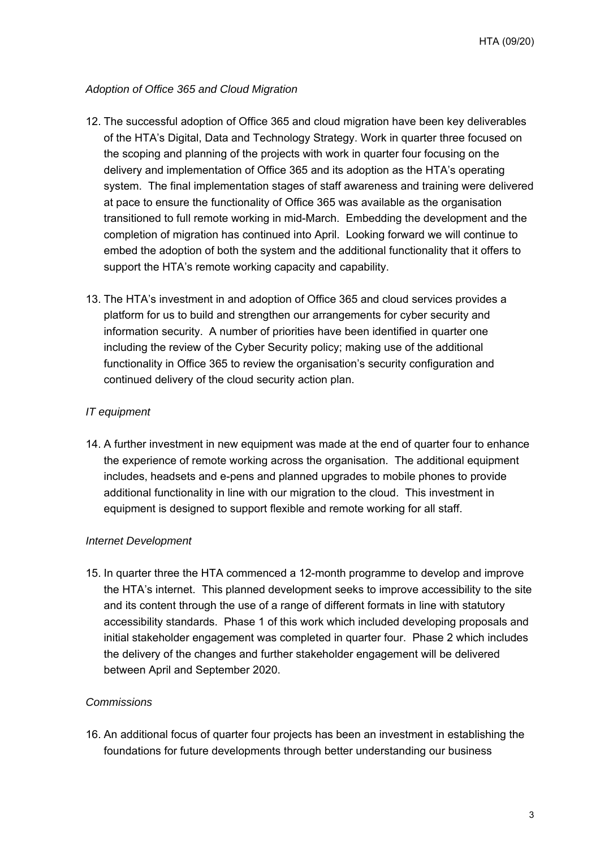#### *Adoption of Office 365 and Cloud Migration*

- 12. The successful adoption of Office 365 and cloud migration have been key deliverables of the HTA's Digital, Data and Technology Strategy. Work in quarter three focused on the scoping and planning of the projects with work in quarter four focusing on the delivery and implementation of Office 365 and its adoption as the HTA's operating system. The final implementation stages of staff awareness and training were delivered at pace to ensure the functionality of Office 365 was available as the organisation transitioned to full remote working in mid-March. Embedding the development and the completion of migration has continued into April. Looking forward we will continue to embed the adoption of both the system and the additional functionality that it offers to support the HTA's remote working capacity and capability.
- 13. The HTA's investment in and adoption of Office 365 and cloud services provides a platform for us to build and strengthen our arrangements for cyber security and information security. A number of priorities have been identified in quarter one including the review of the Cyber Security policy; making use of the additional functionality in Office 365 to review the organisation's security configuration and continued delivery of the cloud security action plan.

#### *IT equipment*

14. A further investment in new equipment was made at the end of quarter four to enhance the experience of remote working across the organisation. The additional equipment includes, headsets and e-pens and planned upgrades to mobile phones to provide additional functionality in line with our migration to the cloud. This investment in equipment is designed to support flexible and remote working for all staff.

#### *Internet Development*

15. In quarter three the HTA commenced a 12-month programme to develop and improve the HTA's internet. This planned development seeks to improve accessibility to the site and its content through the use of a range of different formats in line with statutory accessibility standards. Phase 1 of this work which included developing proposals and initial stakeholder engagement was completed in quarter four. Phase 2 which includes the delivery of the changes and further stakeholder engagement will be delivered between April and September 2020.

#### *Commissions*

16. An additional focus of quarter four projects has been an investment in establishing the foundations for future developments through better understanding our business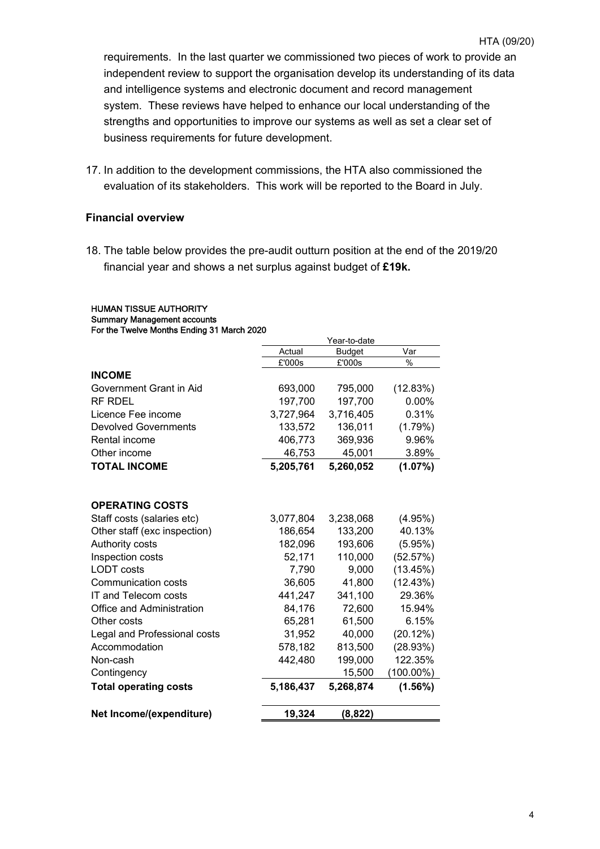requirements. In the last quarter we commissioned two pieces of work to provide an independent review to support the organisation develop its understanding of its data and intelligence systems and electronic document and record management system. These reviews have helped to enhance our local understanding of the strengths and opportunities to improve our systems as well as set a clear set of business requirements for future development.

17. In addition to the development commissions, the HTA also commissioned the evaluation of its stakeholders. This work will be reported to the Board in July.

#### **Financial overview**

HUMAN TISSUE AUTHORITY Summary Management accounts

18. The table below provides the pre-audit outturn position at the end of the 2019/20 financial year and shows a net surplus against budget of **£19k.**

| For the Twelve Months Ending 31 March 2020 |           |               |              |
|--------------------------------------------|-----------|---------------|--------------|
|                                            |           | Year-to-date  |              |
|                                            | Actual    | <b>Budget</b> | Var          |
|                                            | £'000s    | £'000s        | $\%$         |
| <b>INCOME</b>                              |           |               |              |
| Government Grant in Aid                    | 693,000   | 795,000       | (12.83%)     |
| <b>RF RDEL</b>                             | 197,700   | 197,700       | 0.00%        |
| Licence Fee income                         | 3,727,964 | 3,716,405     | 0.31%        |
| <b>Devolved Governments</b>                | 133,572   | 136,011       | (1.79%)      |
| Rental income                              | 406,773   | 369,936       | 9.96%        |
| Other income                               | 46,753    | 45,001        | 3.89%        |
| <b>TOTAL INCOME</b>                        | 5,205,761 | 5,260,052     | $(1.07\%)$   |
| <b>OPERATING COSTS</b>                     |           |               |              |
| Staff costs (salaries etc)                 | 3,077,804 | 3,238,068     | (4.95%)      |
| Other staff (exc inspection)               | 186,654   | 133,200       | 40.13%       |
| Authority costs                            | 182,096   | 193,606       | $(5.95\%)$   |
|                                            |           |               |              |
| Inspection costs<br><b>LODT</b> costs      | 52,171    | 110,000       | (52.57%)     |
|                                            | 7,790     | 9,000         | (13.45%)     |
| <b>Communication costs</b>                 | 36,605    | 41,800        | (12.43%)     |
| <b>IT and Telecom costs</b>                | 441,247   | 341,100       | 29.36%       |
| Office and Administration                  | 84,176    | 72,600        | 15.94%       |
| Other costs                                | 65,281    | 61,500        | 6.15%        |
| Legal and Professional costs               | 31,952    | 40,000        | (20.12%)     |
| Accommodation                              | 578,182   | 813,500       | (28.93%)     |
| Non-cash                                   | 442,480   | 199,000       | 122.35%      |
| Contingency                                |           | 15,500        | $(100.00\%)$ |
| <b>Total operating costs</b>               | 5,186,437 | 5,268,874     | $(1.56\%)$   |
| Net Income/(expenditure)                   | 19,324    | (8, 822)      |              |

4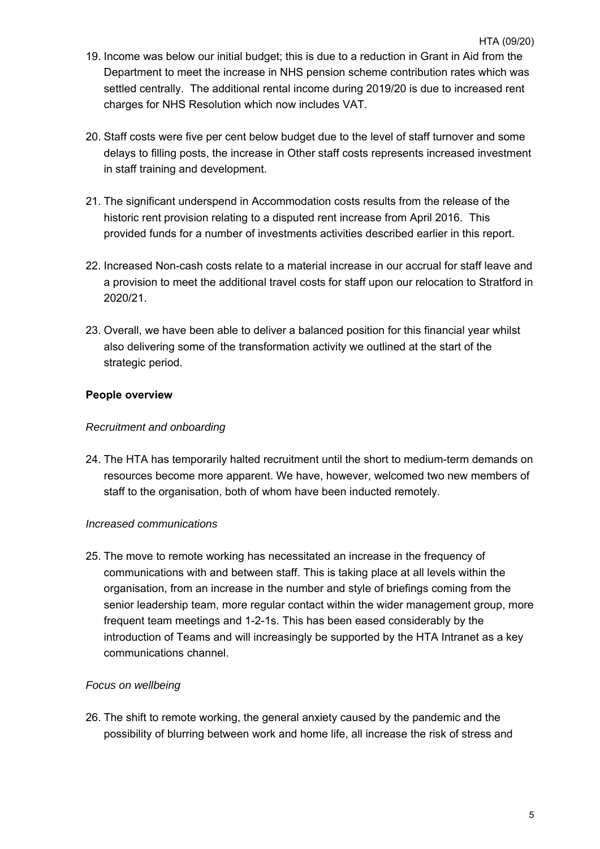- HTA (09/20) 19. Income was below our initial budget; this is due to a reduction in Grant in Aid from the Department to meet the increase in NHS pension scheme contribution rates which was settled centrally. The additional rental income during 2019/20 is due to increased rent charges for NHS Resolution which now includes VAT.
- 20. Staff costs were five per cent below budget due to the level of staff turnover and some delays to filling posts, the increase in Other staff costs represents increased investment in staff training and development.
- 21. The significant underspend in Accommodation costs results from the release of the historic rent provision relating to a disputed rent increase from April 2016. This provided funds for a number of investments activities described earlier in this report.
- 22. Increased Non-cash costs relate to a material increase in our accrual for staff leave and a provision to meet the additional travel costs for staff upon our relocation to Stratford in 2020/21.
- 23. Overall, we have been able to deliver a balanced position for this financial year whilst also delivering some of the transformation activity we outlined at the start of the strategic period.

#### **People overview**

#### *Recruitment and onboarding*

24. The HTA has temporarily halted recruitment until the short to medium-term demands on resources become more apparent. We have, however, welcomed two new members of staff to the organisation, both of whom have been inducted remotely.

#### *Increased communications*

25. The move to remote working has necessitated an increase in the frequency of communications with and between staff. This is taking place at all levels within the organisation, from an increase in the number and style of briefings coming from the senior leadership team, more regular contact within the wider management group, more frequent team meetings and 1-2-1s. This has been eased considerably by the introduction of Teams and will increasingly be supported by the HTA Intranet as a key communications channel.

#### *Focus on wellbeing*

26. The shift to remote working, the general anxiety caused by the pandemic and the possibility of blurring between work and home life, all increase the risk of stress and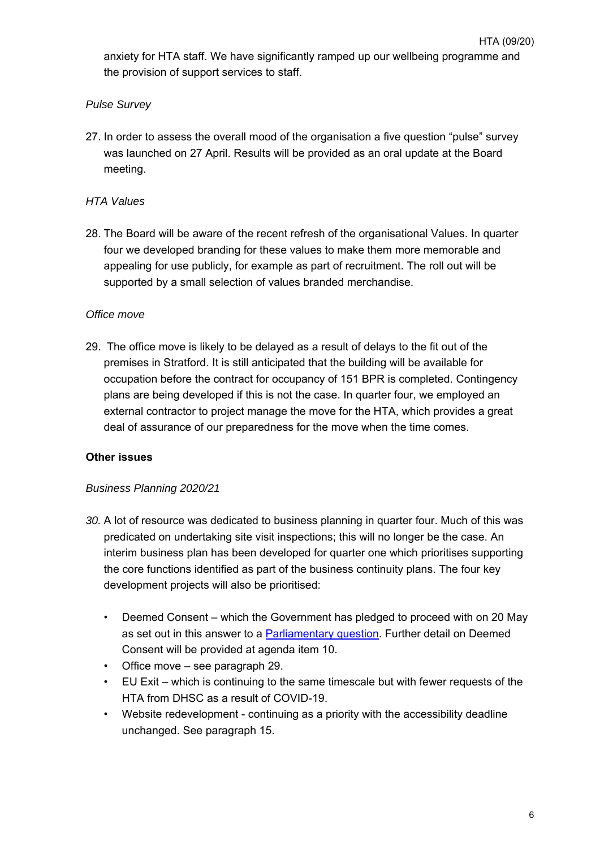anxiety for HTA staff. We have significantly ramped up our wellbeing programme and the provision of support services to staff.

#### *Pulse Survey*

27. In order to assess the overall mood of the organisation a five question "pulse" survey was launched on 27 April. Results will be provided as an oral update at the Board meeting.

#### *HTA Values*

28. The Board will be aware of the recent refresh of the organisational Values. In quarter four we developed branding for these values to make them more memorable and appealing for use publicly, for example as part of recruitment. The roll out will be supported by a small selection of values branded merchandise.

#### *Office move*

29. The office move is likely to be delayed as a result of delays to the fit out of the premises in Stratford. It is still anticipated that the building will be available for occupation before the contract for occupancy of 151 BPR is completed. Contingency plans are being developed if this is not the case. In quarter four, we employed an external contractor to project manage the move for the HTA, which provides a great deal of assurance of our preparedness for the move when the time comes.

#### **Other issues**

#### *Business Planning 2020/21*

- *30.* A lot of resource was dedicated to business planning in quarter four. Much of this was predicated on undertaking site visit inspections; this will no longer be the case. An interim business plan has been developed for quarter one which prioritises supporting the core functions identified as part of the business continuity plans. The four key development projects will also be prioritised:
	- Deemed Consent which the Government has pledged to proceed with on 20 May as set out in this answer to a Parliamentary question. Further detail on Deemed Consent will be provided at agenda item 10.
	- Office move see paragraph 29.
	- EU Exit which is continuing to the same timescale but with fewer requests of the HTA from DHSC as a result of COVID-19.
	- Website redevelopment continuing as a priority with the accessibility deadline unchanged. See paragraph 15.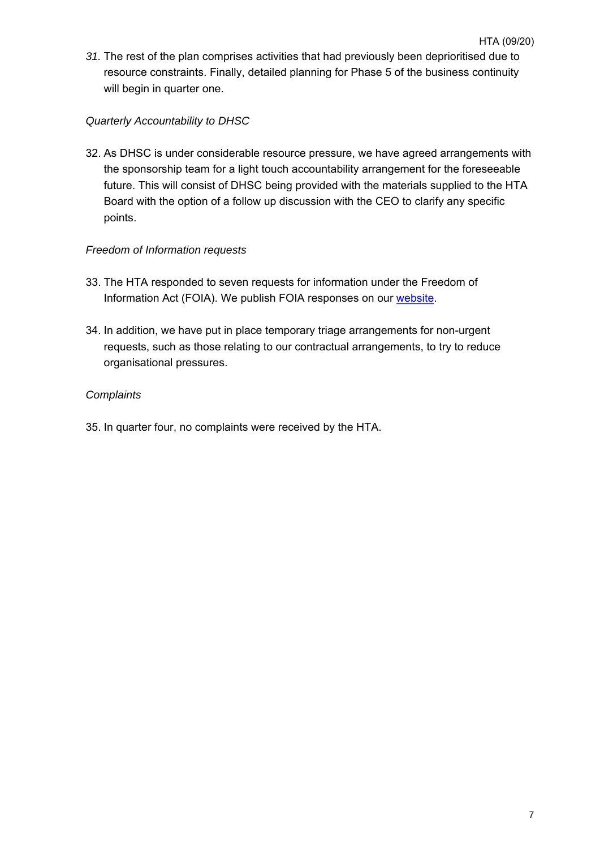*31.* The rest of the plan comprises activities that had previously been deprioritised due to resource constraints. Finally, detailed planning for Phase 5 of the business continuity will begin in quarter one.

#### *Quarterly Accountability to DHSC*

32. As DHSC is under considerable resource pressure, we have agreed arrangements with the sponsorship team for a light touch accountability arrangement for the foreseeable future. This will consist of DHSC being provided with the materials supplied to the HTA Board with the option of a follow up discussion with the CEO to clarify any specific points.

#### *Freedom of Information requests*

- 33. The HTA responded to seven requests for information under the Freedom of Information Act (FOIA). We publish FOIA responses on our website.
- 34. In addition, we have put in place temporary triage arrangements for non-urgent requests, such as those relating to our contractual arrangements, to try to reduce organisational pressures.

#### *Complaints*

35. In quarter four, no complaints were received by the HTA.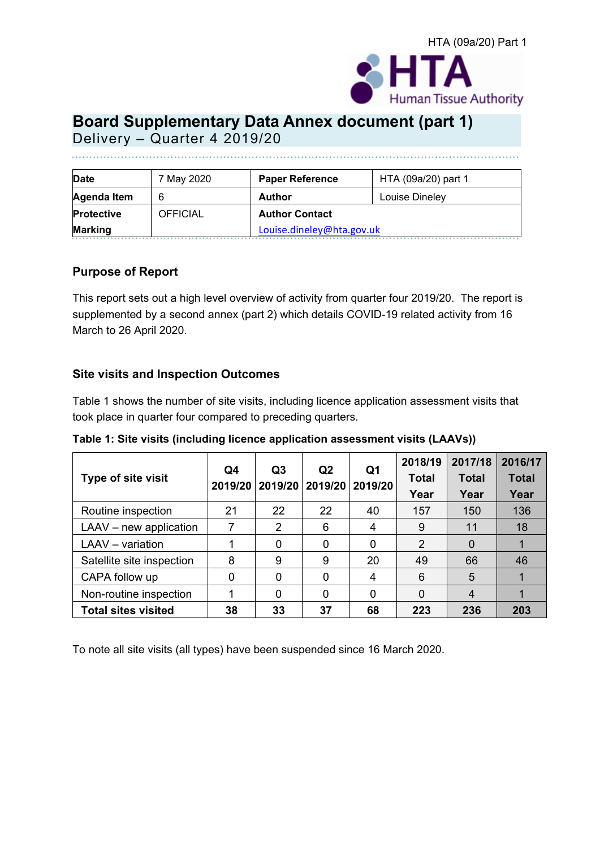

# **Board Supplementary Data Annex document (part 1)**

Delivery – Quarter 4 2019/20

| <b>Date</b>       | 7 May 2020      | <b>Paper Reference</b>    | HTA (09a/20) part 1 |  |
|-------------------|-----------------|---------------------------|---------------------|--|
| Agenda Item       | 6               | Author                    | Louise Dineley      |  |
| <b>Protective</b> | <b>OFFICIAL</b> | <b>Author Contact</b>     |                     |  |
| <b>Marking</b>    |                 | Louise.dineley@hta.gov.uk |                     |  |

#### **Purpose of Report**

This report sets out a high level overview of activity from quarter four 2019/20. The report is supplemented by a second annex (part 2) which details COVID-19 related activity from 16 March to 26 April 2020.

#### **Site visits and Inspection Outcomes**

Table 1 shows the number of site visits, including licence application assessment visits that took place in quarter four compared to preceding quarters.

**Table 1: Site visits (including licence application assessment visits (LAAVs))** 

|                            |                         | Q <sub>3</sub> | Q <sub>2</sub><br>2019/20 | Q1<br>2019/20 | 2018/19        | 2017/18      | 2016/17      |
|----------------------------|-------------------------|----------------|---------------------------|---------------|----------------|--------------|--------------|
| Type of site visit         | Q4<br>2019/20   2019/20 |                |                           |               | <b>Total</b>   | <b>Total</b> | <b>Total</b> |
|                            |                         |                |                           |               | Year           | Year         | Year         |
| Routine inspection         | 21                      | 22             | 22                        | 40            | 157            | 150          | 136          |
| $LAAV$ – new application   |                         | $\overline{2}$ | 6                         | 4             | 9              | 11           | 18           |
| LAAV - variation           |                         | 0              | 0                         |               | $\overline{2}$ |              |              |
| Satellite site inspection  | 8                       | 9              | 9                         | 20            | 49             | 66           | 46           |
| CAPA follow up             | 0                       | 0              | $\Omega$                  | 4             | 6              | 5            |              |
| Non-routine inspection     |                         | 0              | 0                         |               | $\Omega$       | 4            |              |
| <b>Total sites visited</b> | 38                      | 33             | 37                        | 68            | 223            | 236          | 203          |

To note all site visits (all types) have been suspended since 16 March 2020.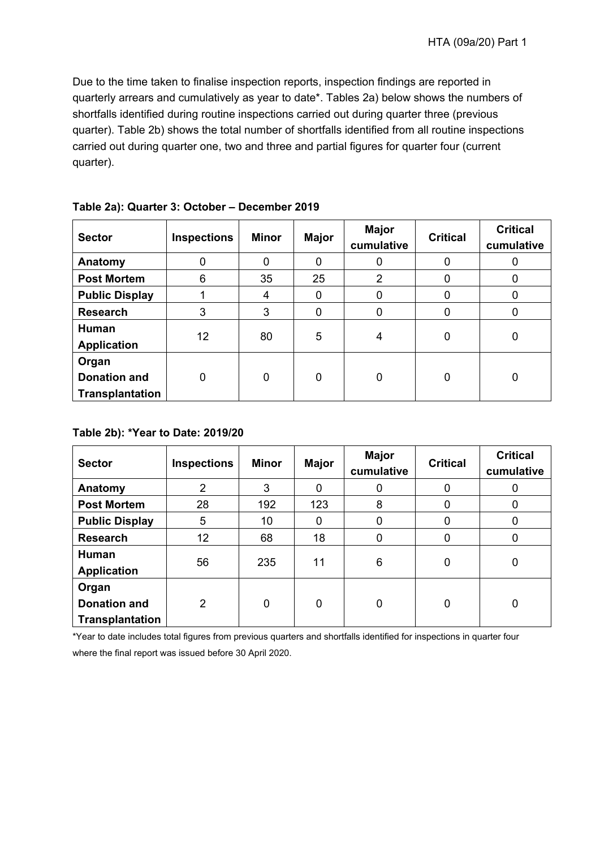Due to the time taken to finalise inspection reports, inspection findings are reported in quarterly arrears and cumulatively as year to date\*. Tables 2a) below shows the numbers of shortfalls identified during routine inspections carried out during quarter three (previous quarter). Table 2b) shows the total number of shortfalls identified from all routine inspections carried out during quarter one, two and three and partial figures for quarter four (current quarter).

| <b>Sector</b>                                          | <b>Inspections</b> | Minor | <b>Major</b> | <b>Major</b><br>cumulative | <b>Critical</b> | <b>Critical</b><br>cumulative |
|--------------------------------------------------------|--------------------|-------|--------------|----------------------------|-----------------|-------------------------------|
| Anatomy                                                | 0                  | 0     | 0            |                            | 0               | O                             |
| <b>Post Mortem</b>                                     | 6                  | 35    | 25           | 2                          | 0               | 0                             |
| <b>Public Display</b>                                  |                    | 4     | 0            | 0                          | 0               | 0                             |
| <b>Research</b>                                        | 3                  | 3     | 0            |                            | 0               | 0                             |
| Human<br><b>Application</b>                            | 12                 | 80    | 5            | 4                          | 0               | 0                             |
| Organ<br><b>Donation and</b><br><b>Transplantation</b> | $\mathbf 0$        | 0     | $\mathbf 0$  | 0                          | 0               | 0                             |

**Table 2a): Quarter 3: October – December 2019** 

#### **Table 2b): \*Year to Date: 2019/20**

| <b>Sector</b>                                   | <b>Inspections</b> | <b>Minor</b> | <b>Major</b> | Major<br>cumulative | <b>Critical</b> | <b>Critical</b><br>cumulative |
|-------------------------------------------------|--------------------|--------------|--------------|---------------------|-----------------|-------------------------------|
| Anatomy                                         | $\overline{2}$     | 3            | 0            | 0                   | 0               | Ü                             |
| <b>Post Mortem</b>                              | 28                 | 192          | 123          | 8                   | 0               | 0                             |
| <b>Public Display</b>                           | 5                  | 10           | 0            | 0                   | 0               | 0                             |
| <b>Research</b>                                 | 12                 | 68           | 18           | $\Omega$            | 0               | 0                             |
| Human<br><b>Application</b>                     | 56                 | 235          | 11           | 6                   | 0               | $\overline{0}$                |
| Organ<br><b>Donation and</b><br>Transplantation | $\overline{2}$     | 0            | 0            | $\overline{0}$      | 0               | $\overline{0}$                |

\*Year to date includes total figures from previous quarters and shortfalls identified for inspections in quarter four where the final report was issued before 30 April 2020.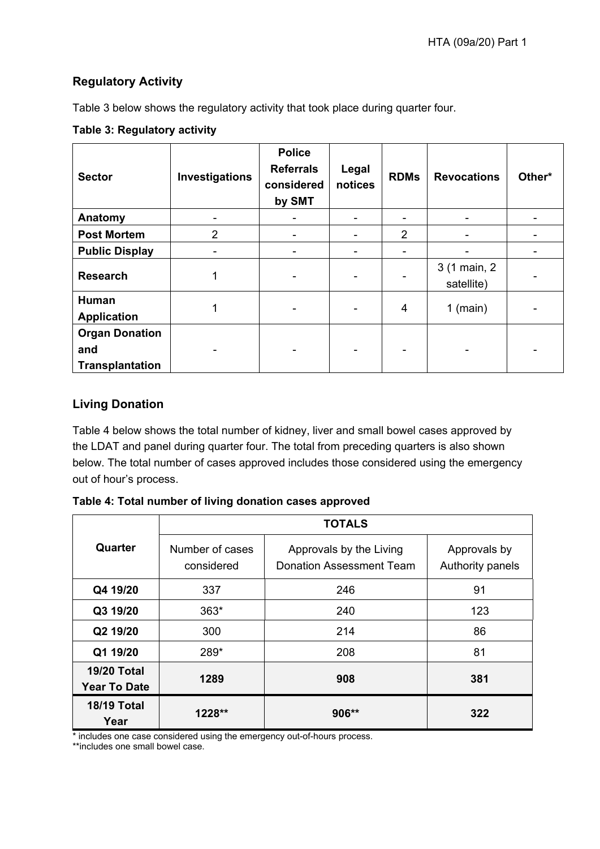#### **Regulatory Activity**

Table 3 below shows the regulatory activity that took place during quarter four.

#### **Table 3: Regulatory activity**

| <b>Sector</b>                                          | Investigations | <b>Police</b><br><b>Referrals</b><br>considered<br>by SMT | Legal<br>notices | <b>RDMs</b>              | <b>Revocations</b>         | Other* |
|--------------------------------------------------------|----------------|-----------------------------------------------------------|------------------|--------------------------|----------------------------|--------|
| Anatomy                                                |                |                                                           |                  | $\overline{\phantom{a}}$ |                            |        |
| <b>Post Mortem</b>                                     | $\overline{2}$ |                                                           |                  | $\overline{2}$           |                            |        |
| <b>Public Display</b>                                  |                |                                                           | ۰                | $\overline{\phantom{a}}$ |                            |        |
| <b>Research</b>                                        | 1              |                                                           |                  | $\overline{a}$           | 3 (1 main, 2<br>satellite) |        |
| Human<br><b>Application</b>                            |                |                                                           |                  | $\overline{4}$           | $1$ (main)                 |        |
| <b>Organ Donation</b><br>and<br><b>Transplantation</b> |                |                                                           |                  | $\blacksquare$           |                            |        |

#### **Living Donation**

Table 4 below shows the total number of kidney, liver and small bowel cases approved by the LDAT and panel during quarter four. The total from preceding quarters is also shown below. The total number of cases approved includes those considered using the emergency out of hour's process.

**Table 4: Total number of living donation cases approved** 

|                                           | <b>TOTALS</b>                 |                                                            |                                  |  |  |  |
|-------------------------------------------|-------------------------------|------------------------------------------------------------|----------------------------------|--|--|--|
| Quarter                                   | Number of cases<br>considered | Approvals by the Living<br><b>Donation Assessment Team</b> | Approvals by<br>Authority panels |  |  |  |
| Q4 19/20                                  | 337                           | 246                                                        | 91                               |  |  |  |
| Q3 19/20                                  | $363*$                        | 240                                                        | 123                              |  |  |  |
| Q2 19/20                                  | 300                           | 214                                                        | 86                               |  |  |  |
| Q1 19/20                                  | 289*                          | 208                                                        | 81                               |  |  |  |
| <b>19/20 Total</b><br><b>Year To Date</b> | 1289                          | 908                                                        | 381                              |  |  |  |
| <b>18/19 Total</b><br>Year                | $1228**$                      | $906**$                                                    | 322                              |  |  |  |

\* includes one case considered using the emergency out-of-hours process.

\*\*includes one small bowel case.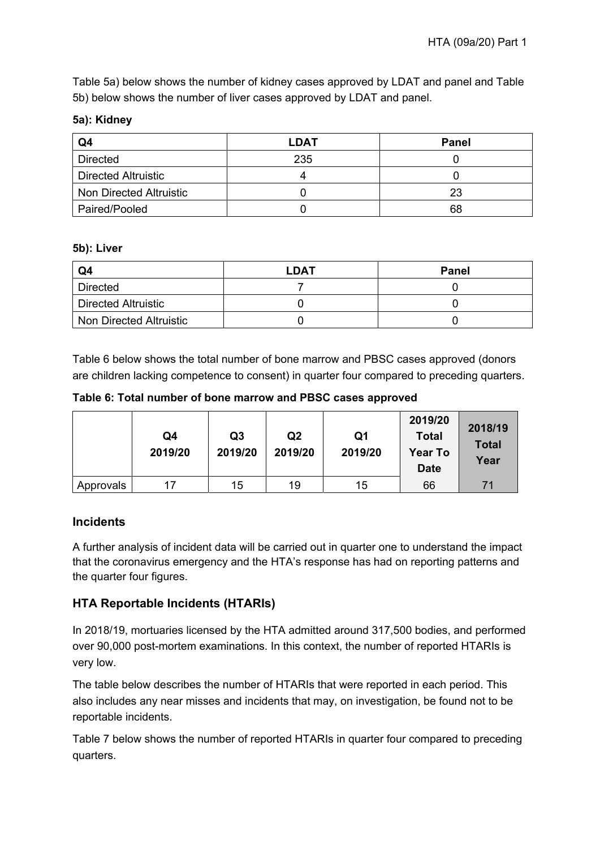Table 5a) below shows the number of kidney cases approved by LDAT and panel and Table 5b) below shows the number of liver cases approved by LDAT and panel.

#### **5a): Kidney**

| Q4                         | <b>LDAT</b> | <b>Panel</b> |
|----------------------------|-------------|--------------|
| <b>Directed</b>            | 235         |              |
| <b>Directed Altruistic</b> |             |              |
| Non Directed Altruistic    |             | 23           |
| Paired/Pooled              |             | 68           |

#### **5b): Liver**

| Q4                         | <b>LDAT</b> | <b>Panel</b> |
|----------------------------|-------------|--------------|
| <b>Directed</b>            |             |              |
| <b>Directed Altruistic</b> |             |              |
| Non Directed Altruistic    |             |              |

Table 6 below shows the total number of bone marrow and PBSC cases approved (donors are children lacking competence to consent) in quarter four compared to preceding quarters.

**Table 6: Total number of bone marrow and PBSC cases approved** 

|           | Q4<br>2019/20 | Q <sub>3</sub><br>2019/20 | Q <sub>2</sub><br>2019/20 | Q1<br>2019/20 | 2019/20<br><b>Total</b><br><b>Year To</b><br><b>Date</b> | 2018/19<br><b>Total</b><br>Year |
|-----------|---------------|---------------------------|---------------------------|---------------|----------------------------------------------------------|---------------------------------|
| Approvals | 17            | 15                        | 19                        | 15            | 66                                                       | 71                              |

#### **Incidents**

A further analysis of incident data will be carried out in quarter one to understand the impact that the coronavirus emergency and the HTA's response has had on reporting patterns and the quarter four figures.

#### **HTA Reportable Incidents (HTARIs)**

In 2018/19, mortuaries licensed by the HTA admitted around 317,500 bodies, and performed over 90,000 post-mortem examinations. In this context, the number of reported HTARIs is very low.

The table below describes the number of HTARIs that were reported in each period. This also includes any near misses and incidents that may, on investigation, be found not to be reportable incidents.

Table 7 below shows the number of reported HTARIs in quarter four compared to preceding quarters.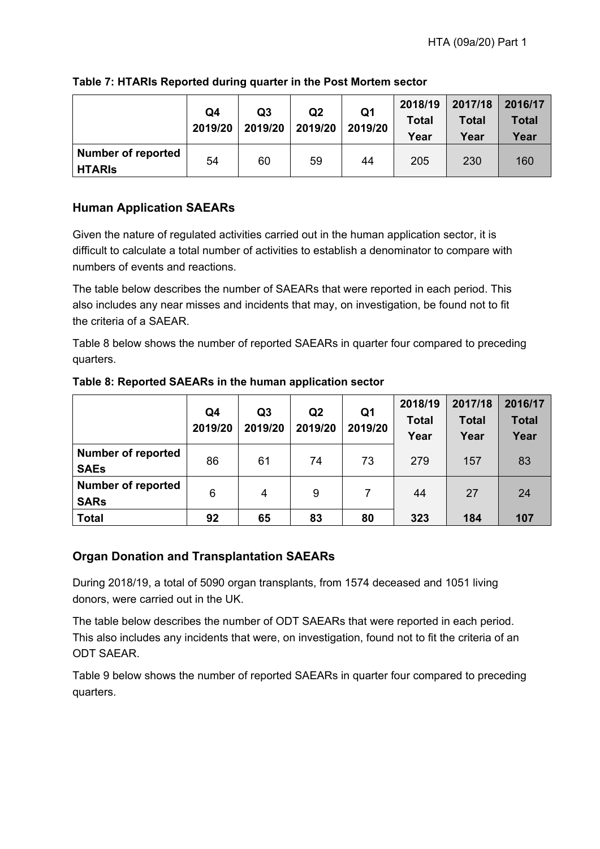|                                            | Q4<br>2019/20 | Q <sub>3</sub><br>2019/20 | Q <sub>2</sub><br>2019/20 | Q <sub>1</sub><br>2019/20 | 2018/19<br><b>Total</b><br>Year | 2017/18<br><b>Total</b><br>Year | 2016/17<br>Total<br>Year |
|--------------------------------------------|---------------|---------------------------|---------------------------|---------------------------|---------------------------------|---------------------------------|--------------------------|
| <b>Number of reported</b><br><b>HTARIS</b> | 54            | 60                        | 59                        | 44                        | 205                             | 230                             | 160                      |

#### **Table 7: HTARIs Reported during quarter in the Post Mortem sector**

#### **Human Application SAEARs**

Given the nature of regulated activities carried out in the human application sector, it is difficult to calculate a total number of activities to establish a denominator to compare with numbers of events and reactions.

The table below describes the number of SAEARs that were reported in each period. This also includes any near misses and incidents that may, on investigation, be found not to fit the criteria of a SAEAR.

Table 8 below shows the number of reported SAEARs in quarter four compared to preceding quarters.

|                                          | Q4<br>2019/20 | Q <sub>3</sub><br>2019/20 | Q <sub>2</sub><br>2019/20 | Q <sub>1</sub><br>2019/20 | 2018/19<br><b>Total</b><br>Year | 2017/18<br><b>Total</b><br>Year | 2016/17<br><b>Total</b><br>Year |
|------------------------------------------|---------------|---------------------------|---------------------------|---------------------------|---------------------------------|---------------------------------|---------------------------------|
| <b>Number of reported</b><br><b>SAEs</b> | 86            | 61                        | 74                        | 73                        | 279                             | 157                             | 83                              |
| <b>Number of reported</b><br><b>SARs</b> | 6             | 4                         | 9                         |                           | 44                              | 27                              | 24                              |
| <b>Total</b>                             | 92            | 65                        | 83                        | 80                        | 323                             | 184                             | 107                             |

#### **Table 8: Reported SAEARs in the human application sector**

#### **Organ Donation and Transplantation SAEARs**

During 2018/19, a total of 5090 organ transplants, from 1574 deceased and 1051 living donors, were carried out in the UK.

The table below describes the number of ODT SAEARs that were reported in each period. This also includes any incidents that were, on investigation, found not to fit the criteria of an ODT SAEAR.

Table 9 below shows the number of reported SAEARs in quarter four compared to preceding quarters.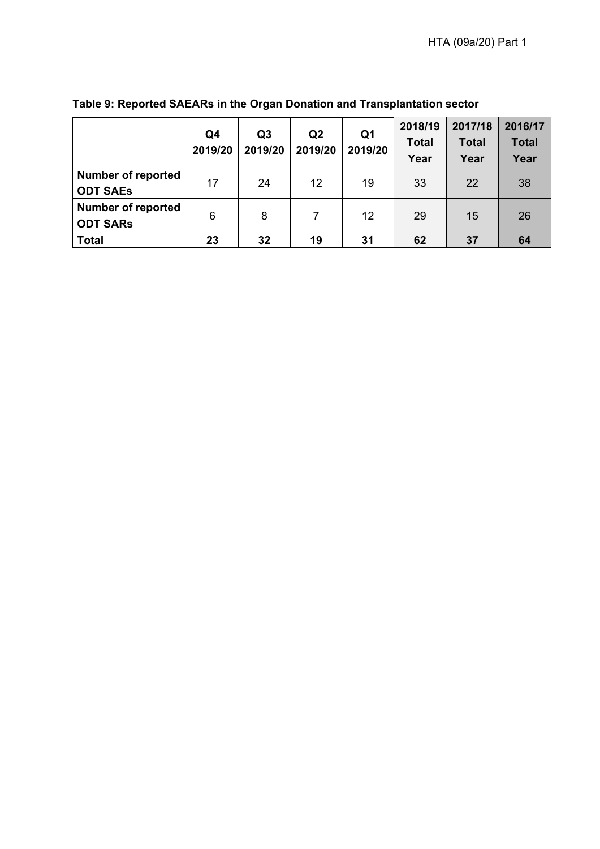|                                              | Q4<br>2019/20 | Q <sub>3</sub><br>2019/20 | Q <sub>2</sub><br>2019/20 | Q <sub>1</sub><br>2019/20 | 2018/19<br><b>Total</b><br>Year | 2017/18<br><b>Total</b><br>Year | 2016/17<br><b>Total</b><br>Year |
|----------------------------------------------|---------------|---------------------------|---------------------------|---------------------------|---------------------------------|---------------------------------|---------------------------------|
| <b>Number of reported</b><br><b>ODT SAEs</b> | 17            | 24                        | 12                        | 19                        | 33                              | 22                              | 38                              |
| <b>Number of reported</b><br><b>ODT SARS</b> | 6             | 8                         |                           | 12                        | 29                              | 15                              | 26                              |
| <b>Total</b>                                 | 23            | 32                        | 19                        | 31                        | 62                              | 37                              | 64                              |

### **Table 9: Reported SAEARs in the Organ Donation and Transplantation sector**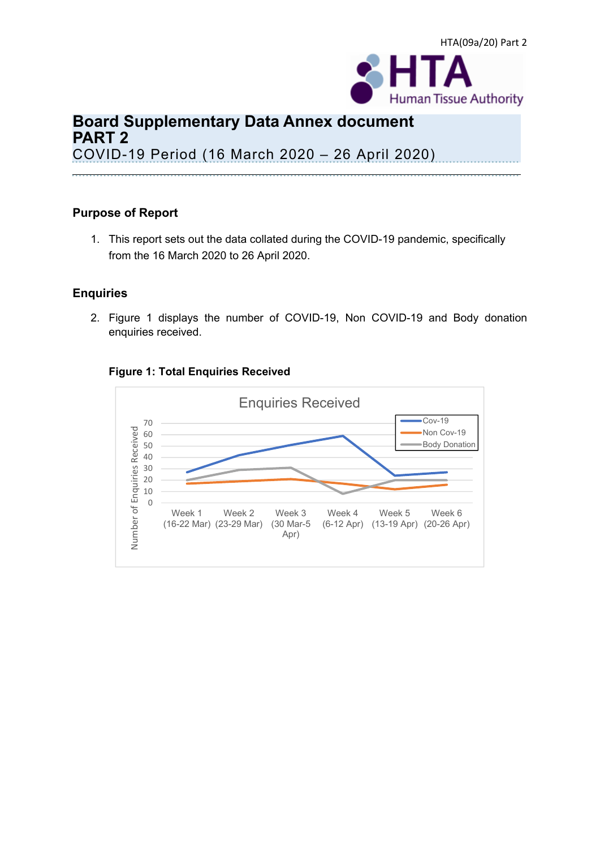

# **Board Supplementary Data Annex document PART 2**  COVID-19 Period (16 March 2020 – 26 April 2020)

#### **Purpose of Report**

1. This report sets out the data collated during the COVID-19 pandemic, specifically from the 16 March 2020 to 26 April 2020.

#### **Enquiries**

2. Figure 1 displays the number of COVID-19, Non COVID-19 and Body donation enquiries received.



#### **Figure 1: Total Enquiries Received**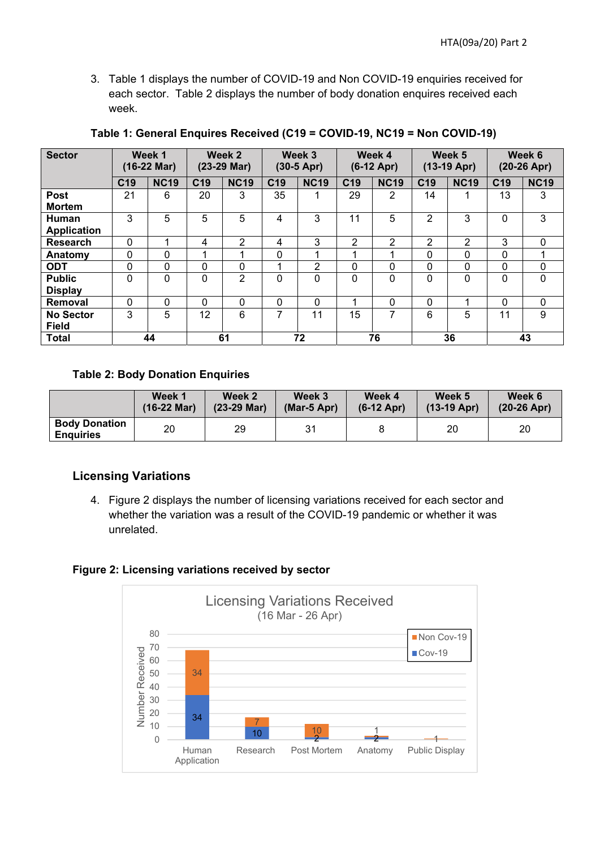3. Table 1 displays the number of COVID-19 and Non COVID-19 enquiries received for each sector. Table 2 displays the number of body donation enquires received each week.

| <b>Sector</b>      |                 | Week 1<br>$(16-22 \text{ Mar})$ |                 | Week <sub>2</sub><br>(23-29 Mar) |                 | Week 3<br>$(30-5$ Apr) |                 | Week 4<br>$(6-12$ Apr) |                 | Week 5<br>$(13-19$ Apr) |                 | Week 6<br>$(20-26$ Apr) |
|--------------------|-----------------|---------------------------------|-----------------|----------------------------------|-----------------|------------------------|-----------------|------------------------|-----------------|-------------------------|-----------------|-------------------------|
|                    | C <sub>19</sub> | <b>NC19</b>                     | C <sub>19</sub> | <b>NC19</b>                      | C <sub>19</sub> | <b>NC19</b>            | C <sub>19</sub> | <b>NC19</b>            | C <sub>19</sub> | <b>NC19</b>             | C <sub>19</sub> | <b>NC19</b>             |
| <b>Post</b>        | 21              | 6                               | 20              | 3                                | 35              | 1                      | 29              | 2                      | 14              |                         | 13              | 3                       |
| <b>Mortem</b>      |                 |                                 |                 |                                  |                 |                        |                 |                        |                 |                         |                 |                         |
| Human              | 3               | 5                               | 5               | 5                                | 4               | 3                      | 11              | 5                      | $\overline{2}$  | 3                       | $\Omega$        | 3                       |
| <b>Application</b> |                 |                                 |                 |                                  |                 |                        |                 |                        |                 |                         |                 |                         |
| Research           | $\mathbf 0$     |                                 | 4               | 2                                | 4               | 3                      | 2               | 2                      | 2               | 2                       | 3               | $\mathbf{0}$            |
| Anatomy            | $\mathbf 0$     | 0                               |                 |                                  | 0               | 4                      |                 |                        | 0               | $\Omega$                | $\Omega$        |                         |
| <b>ODT</b>         | 0               | 0                               | $\mathbf{0}$    | $\Omega$                         |                 | $\overline{2}$         | $\Omega$        | 0                      | 0               | 0                       | 0               | 0                       |
| <b>Public</b>      | $\Omega$        | 0                               | $\mathbf 0$     | $\overline{2}$                   | 0               | $\mathbf 0$            | $\Omega$        | 0                      | $\Omega$        | $\Omega$                | $\Omega$        | 0                       |
| <b>Display</b>     |                 |                                 |                 |                                  |                 |                        |                 |                        |                 |                         |                 |                         |
| Removal            | $\mathbf{0}$    | 0                               | $\Omega$        | $\Omega$                         | 0               | $\mathbf 0$            | ۸               | 0                      | 0               |                         | $\Omega$        | $\Omega$                |
| <b>No Sector</b>   | 3               | 5                               | 12              | 6                                | 7               | 11                     | 15              | 7                      | 6               | 5                       | 11              | 9                       |
| <b>Field</b>       |                 |                                 |                 |                                  |                 |                        |                 |                        |                 |                         |                 |                         |
| <b>Total</b>       |                 | 44                              |                 | 61                               |                 | 72                     |                 | 76                     |                 | 36                      |                 | 43                      |

#### **Table 1: General Enquires Received (C19 = COVID-19, NC19 = Non COVID-19)**

#### **Table 2: Body Donation Enquiries**

|                                          | Week 1                | Week 2        | Week 3           | Week 4       | Week 5        | Week 6        |
|------------------------------------------|-----------------------|---------------|------------------|--------------|---------------|---------------|
|                                          | $(16-22 \text{ Mar})$ | $(23-29$ Mar) | $(Mar-5$ Apr $)$ | $(6-12$ Apr) | $(13-19$ Apr) | $(20-26$ Apr) |
| <b>Body Donation</b><br><b>Enguiries</b> | 20                    | 29            | 31               |              | 20            | 20            |

#### **Licensing Variations**

4. Figure 2 displays the number of licensing variations received for each sector and whether the variation was a result of the COVID-19 pandemic or whether it was unrelated.

#### **Figure 2: Licensing variations received by sector**

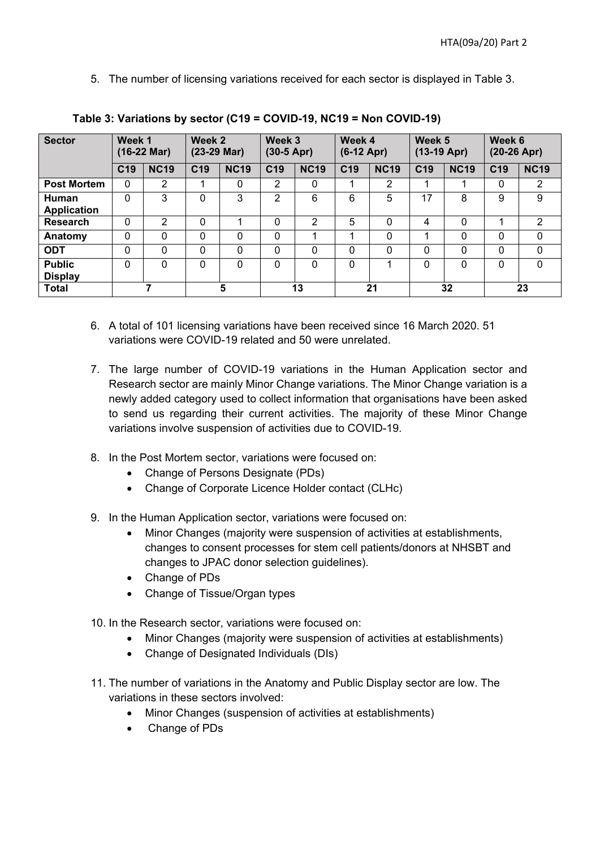5. The number of licensing variations received for each sector is displayed in Table 3.

| <b>Sector</b>                      | Week 1          | $(16-22 \text{ Mar})$ | Week 2<br>$(23-29$ Mar) |             | Week 3<br>$(30-5$ Apr) |                | Week 4<br>$(6-12$ Apr) |                | Week 5<br>$(13-19$ Apr) |             | Week 6<br>$(20-26$ Apr) |                |
|------------------------------------|-----------------|-----------------------|-------------------------|-------------|------------------------|----------------|------------------------|----------------|-------------------------|-------------|-------------------------|----------------|
|                                    | C <sub>19</sub> | <b>NC19</b>           | C <sub>19</sub>         | <b>NC19</b> | C <sub>19</sub>        | <b>NC19</b>    | C <sub>19</sub>        | <b>NC19</b>    | C <sub>19</sub>         | <b>NC19</b> | C <sub>19</sub>         | <b>NC19</b>    |
| <b>Post Mortem</b>                 | $\Omega$        | 2                     | 1                       | $\Omega$    | 2                      | 0              |                        | $\overline{2}$ | 1                       |             | 0                       | $\overline{2}$ |
| <b>Human</b><br><b>Application</b> | $\Omega$        | 3                     | $\Omega$                | 3           | 2                      | 6              | 6                      | 5              | 17                      | 8           | 9                       | 9              |
| <b>Research</b>                    | 0               | 2                     | 0                       |             | 0                      | $\overline{2}$ | 5                      | 0              | 4                       | $\Omega$    |                         | $\overline{2}$ |
| Anatomy                            | 0               | 0                     | 0                       | $\Omega$    | 0                      | 1              |                        | 0              | 4                       | $\Omega$    | 0                       | $\mathbf{0}$   |
| <b>ODT</b>                         | $\mathbf 0$     | $\mathbf{0}$          | $\mathbf 0$             | $\Omega$    | 0                      | 0              | $\Omega$               | 0              | $\mathbf 0$             | $\Omega$    | 0                       | $\mathbf 0$    |
| <b>Public</b><br><b>Display</b>    | $\Omega$        | $\Omega$              | $\Omega$                | 0           | $\Omega$               | $\Omega$       | $\Omega$               |                | $\Omega$                | $\Omega$    | $\Omega$                | $\Omega$       |
| <b>Total</b>                       |                 |                       |                         | 5           |                        | 13             |                        | 21             |                         | 32          |                         | 23             |

**Table 3: Variations by sector (C19 = COVID-19, NC19 = Non COVID-19)** 

- 6. A total of 101 licensing variations have been received since 16 March 2020. 51 variations were COVID-19 related and 50 were unrelated.
- 7. The large number of COVID-19 variations in the Human Application sector and Research sector are mainly Minor Change variations. The Minor Change variation is a newly added category used to collect information that organisations have been asked to send us regarding their current activities. The majority of these Minor Change variations involve suspension of activities due to COVID-19.
- 8. In the Post Mortem sector, variations were focused on:
	- Change of Persons Designate (PDs)
	- Change of Corporate Licence Holder contact (CLHc)
- 9. In the Human Application sector, variations were focused on:
	- Minor Changes (majority were suspension of activities at establishments, changes to consent processes for stem cell patients/donors at NHSBT and changes to JPAC donor selection guidelines).
	- Change of PDs
	- Change of Tissue/Organ types

10. In the Research sector, variations were focused on:

- Minor Changes (majority were suspension of activities at establishments)
- Change of Designated Individuals (DIs)
- 11. The number of variations in the Anatomy and Public Display sector are low. The variations in these sectors involved:
	- Minor Changes (suspension of activities at establishments)
	- Change of PDs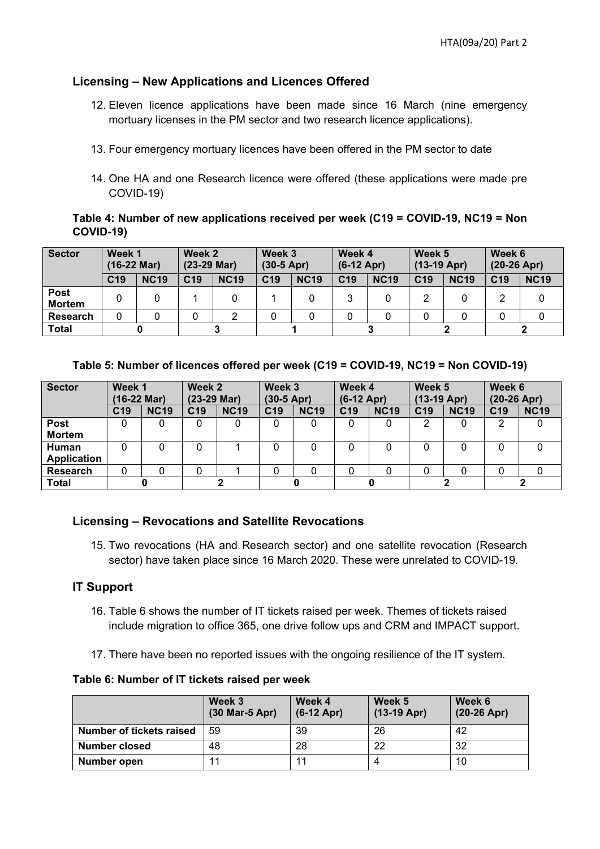#### **Licensing – New Applications and Licences Offered**

- 12. Eleven licence applications have been made since 16 March (nine emergency mortuary licenses in the PM sector and two research licence applications).
- 13. Four emergency mortuary licences have been offered in the PM sector to date
- 14. One HA and one Research licence were offered (these applications were made pre COVID-19)

#### **Table 4: Number of new applications received per week (C19 = COVID-19, NC19 = Non COVID-19)**

| <b>Sector</b>                | Week 1<br>$(16-22 \text{ Mar})$ |             | Week 2<br>$(23-29$ Mar) |             | Week 3<br>$(30-5$ Apr) |             | Week 4<br>$(6-12$ Apr) |             | Week 5<br>$(13-19$ Apr) |             | Week 6<br>$(20-26$ Apr) |             |
|------------------------------|---------------------------------|-------------|-------------------------|-------------|------------------------|-------------|------------------------|-------------|-------------------------|-------------|-------------------------|-------------|
|                              | C <sub>19</sub>                 | <b>NC19</b> | C <sub>19</sub>         | <b>NC19</b> | C <sub>19</sub>        | <b>NC19</b> | C <sub>19</sub>        | <b>NC19</b> | C <sub>19</sub>         | <b>NC19</b> | C <sub>19</sub>         | <b>NC19</b> |
| <b>Post</b><br><b>Mortem</b> |                                 |             |                         |             |                        |             | 3                      |             |                         |             | 2                       |             |
| <b>Research</b>              |                                 |             |                         |             |                        |             |                        |             |                         |             |                         |             |
| <b>Total</b>                 |                                 |             |                         |             |                        |             |                        |             |                         |             |                         |             |

#### **Table 5: Number of licences offered per week (C19 = COVID-19, NC19 = Non COVID-19)**

| <b>Sector</b>      | Week 1          |             | Week 2          |             | Week 3          |             | Week 4          |             | Week 5          |             | Week 6          |             |
|--------------------|-----------------|-------------|-----------------|-------------|-----------------|-------------|-----------------|-------------|-----------------|-------------|-----------------|-------------|
|                    | (16-22 Mar)     |             | $(23-29$ Mar)   |             | $(30-5$ Apr)    |             | $(6-12$ Apr)    |             | $(13-19$ Apr)   |             | $(20-26$ Apr)   |             |
|                    | C <sub>19</sub> | <b>NC19</b> | C <sub>19</sub> | <b>NC19</b> | C <sub>19</sub> | <b>NC19</b> | C <sub>19</sub> | <b>NC19</b> | C <sub>19</sub> | <b>NC19</b> | C <sub>19</sub> | <b>NC19</b> |
| <b>Post</b>        |                 |             | 0               | 0           |                 |             | 0               |             |                 |             | 2               |             |
| <b>Mortem</b>      |                 |             |                 |             |                 |             |                 |             |                 |             |                 |             |
| <b>Human</b>       |                 |             | 0               |             |                 |             |                 |             |                 |             | 0               |             |
| <b>Application</b> |                 |             |                 |             |                 |             |                 |             |                 |             |                 |             |
| <b>Research</b>    |                 |             | 0               |             |                 |             |                 |             |                 |             | 0               |             |
| <b>Total</b>       |                 |             |                 |             |                 |             |                 |             |                 |             |                 |             |

#### **Licensing – Revocations and Satellite Revocations**

15. Two revocations (HA and Research sector) and one satellite revocation (Research sector) have taken place since 16 March 2020. These were unrelated to COVID-19.

#### **IT Support**

- 16. Table 6 shows the number of IT tickets raised per week. Themes of tickets raised include migration to office 365, one drive follow ups and CRM and IMPACT support.
- 17. There have been no reported issues with the ongoing resilience of the IT system.

**Table 6: Number of IT tickets raised per week** 

|                          | Week 3<br>(30 Mar-5 Apr) | Week 4<br>$(6-12$ Apr) | Week 5<br>$(13-19$ Apr) | Week 6<br>$(20-26$ Apr) |
|--------------------------|--------------------------|------------------------|-------------------------|-------------------------|
| Number of tickets raised | 59                       | 39                     | 26                      | 42                      |
| Number closed            | 48                       | 28                     | 22                      | 32                      |
| Number open              |                          | 11                     |                         | 10                      |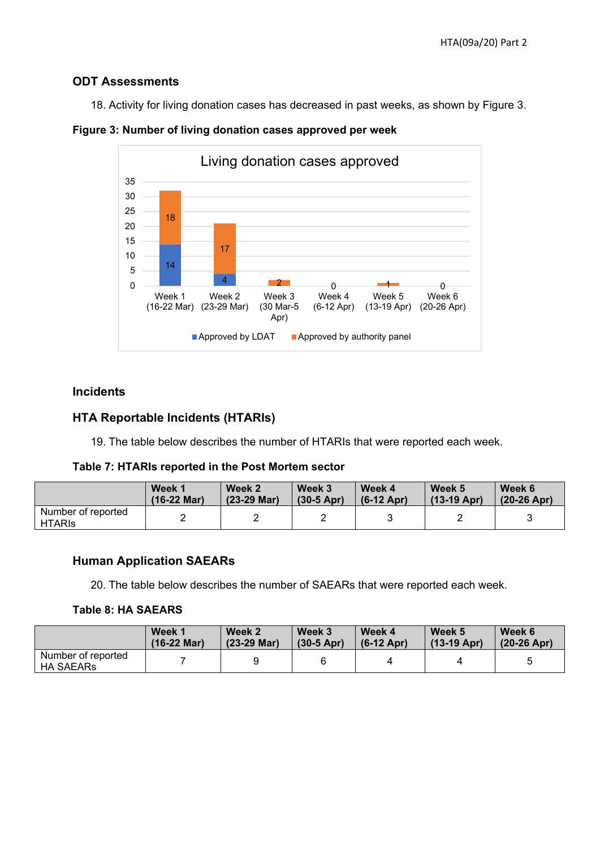#### **ODT Assessments**

18. Activity for living donation cases has decreased in past weeks, as shown by Figure 3.



**Figure 3: Number of living donation cases approved per week** 

#### **Incidents**

#### **HTA Reportable Incidents (HTARIs)**

19. The table below describes the number of HTARIs that were reported each week.

**Table 7: HTARIs reported in the Post Mortem sector** 

|                                     | Week 1                | Week 2        | Week 3       | Week 4       | Week 5        | Week 6        |
|-------------------------------------|-----------------------|---------------|--------------|--------------|---------------|---------------|
|                                     | $(16-22 \text{ Mar})$ | $(23-29$ Mar) | $(30-5$ Apr) | $(6-12$ Apr) | $(13-19$ Apr) | $(20-26$ Apr) |
| Number of reported<br><b>HTARIS</b> |                       |               |              | u            |               |               |

#### **Human Application SAEARs**

20. The table below describes the number of SAEARs that were reported each week.

#### **Table 8: HA SAEARS**

|                                        | Week 1                | Week 2      | Week 3       | Week 4          | Week 5        | Week 6        |
|----------------------------------------|-----------------------|-------------|--------------|-----------------|---------------|---------------|
|                                        | $(16-22 \text{ Mar})$ | (23-29 Mar) | $(30-5$ Apr) | $(6-12$ Apr $)$ | $(13-19$ Apr) | $(20-26$ Apr) |
| Number of reported<br><b>HA SAEARs</b> |                       |             |              |                 |               |               |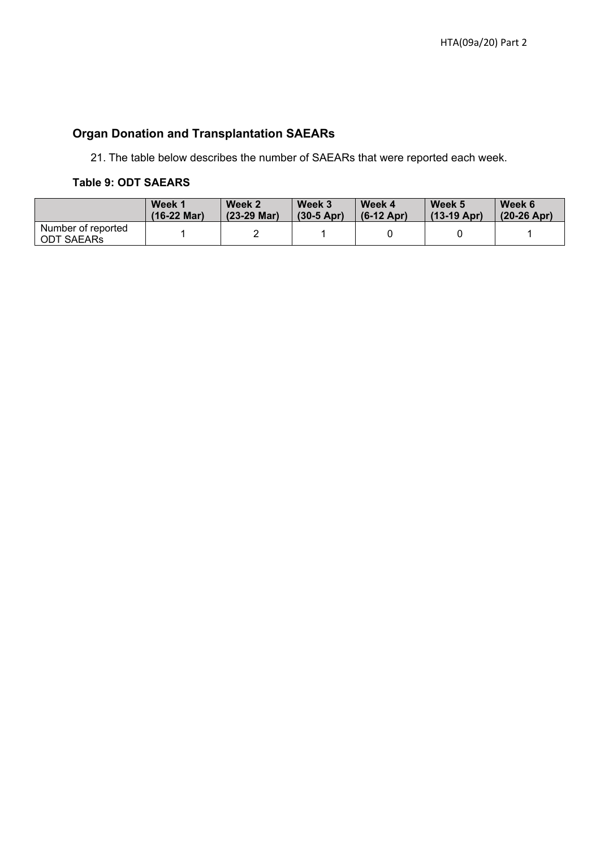### **Organ Donation and Transplantation SAEARs**

21. The table below describes the number of SAEARs that were reported each week.

#### **Table 9: ODT SAEARS**

|                                  | Week 1                | Week 2                | Week 3       | Week 4       | Week 5        | Week 6        |
|----------------------------------|-----------------------|-----------------------|--------------|--------------|---------------|---------------|
|                                  | $(16-22 \text{ Mar})$ | $(23-29 \text{ Mar})$ | $(30-5$ Apr) | $(6-12$ Apr) | $(13-19$ Apr) | $(20-26$ Apr) |
| Number of reported<br>ODT SAEARs |                       |                       |              |              |               |               |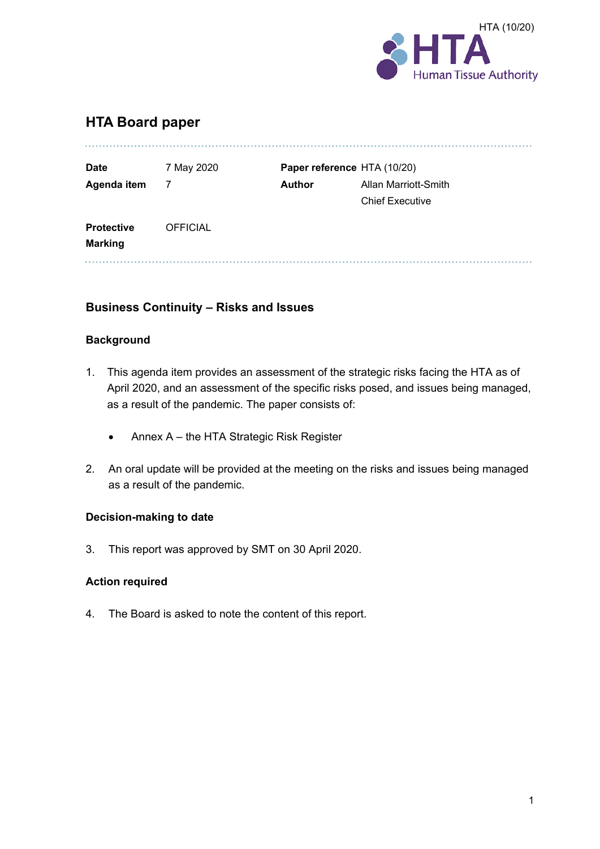

#### **HTA Board paper**

| <b>Date</b>       | 7 May 2020      |               | Paper reference HTA (10/20) |
|-------------------|-----------------|---------------|-----------------------------|
| Agenda item       | 7               | <b>Author</b> | Allan Marriott-Smith        |
|                   |                 |               | <b>Chief Executive</b>      |
| <b>Protective</b> | <b>OFFICIAL</b> |               |                             |
| <b>Marking</b>    |                 |               |                             |

#### **Business Continuity – Risks and Issues**

#### **Background**

- 1. This agenda item provides an assessment of the strategic risks facing the HTA as of April 2020, and an assessment of the specific risks posed, and issues being managed, as a result of the pandemic. The paper consists of:
	- Annex A the HTA Strategic Risk Register
- 2. An oral update will be provided at the meeting on the risks and issues being managed as a result of the pandemic.

#### **Decision-making to date**

3. This report was approved by SMT on 30 April 2020.

#### **Action required**

4. The Board is asked to note the content of this report.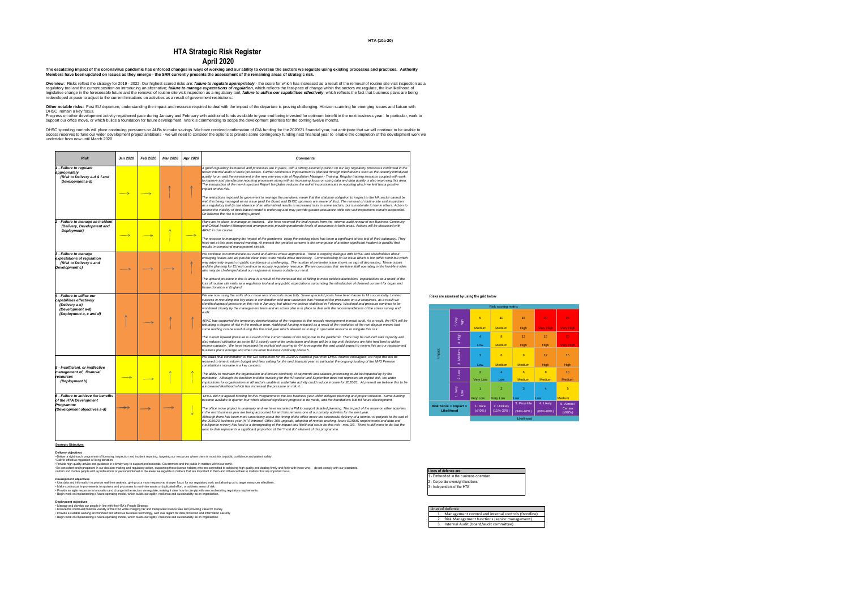#### **HTA (10a-20)**

*A good regulatory framework and processes are in place, with a strong assured position on our key regulatory processes confirmed in the recent internal audit of these processes. Further continuous improvement is planned through mechanisms such as the recently introduced quality forum and the investment in the new one-year role of Regulation Manager - Training. Regular training sessions coupled with work to improve and standardise reporting processes along with an increasing focus on using data and data quality is also improving this area. the risk of inconsistencies in reporting which we feel has a positive* 

*The restrictions imposed by goverment to manage the pandemic mean that the statutory obligation to inspect in the HA sector cannot be met; this being managed as an issue (and the Board and DHSC sponsors are aware of this). The removal of routine site visit inspection as a regulatory tool (in the absence of an alternative) results in increased risks in some sectors, but is moderate to low in others. Action to assess the viability of desk-based model is underway and may provide greater assurance while site visit inspections remain suspended.* 

*The upward pressure in this is area, is a result of the increased risk of failing to meet public/stakeholders expectations as a result of the*  ctations surounding the introduction of deemed consent for organ and

*Plans are in place to manage an incident. We have received the final reports from the internal audit review of our Business Continuity and Critical Incident Management arrangements providing moderate levels of assurance in both areas. Actions will be discussed with* 

*The reponse to managing the impact of the pandemic using the existing plans has been a significant stress test of their adequacy. They have not at this point proved wanting. At present the greatest concern is the emergence of another significant incident in parallel that* 

*We continue to communicate our remit and advise where appropriate. There is ongoing dialogue with DHSC and stakeholders about ecessary. Communicating on an issue which is not within remit but which may adversely impact on public confidence is challenging. The number of perimeter issue shows no sign of decreasing. These issues and the planning for EU exit continue to occupy regulatory resource. We are conscious that we have staff operating in the front-line roles* 

financial year from DHSC finance colleagues, we hope this will be *received in time to inform budget and fees setting for the next financial year, in particular the ongoing funding of the NHS Pension* 

| <b>Risk</b>                                                                                                              | <b>Jan 2020</b> | <b>Feb 2020</b> | <b>Mar 2020</b> | Apr 2020 | <b>Comments</b>                                                                                                                                                                                                                                                                                                                                                                                                                                                                                                                                                                                                                                                                                                                                   |
|--------------------------------------------------------------------------------------------------------------------------|-----------------|-----------------|-----------------|----------|---------------------------------------------------------------------------------------------------------------------------------------------------------------------------------------------------------------------------------------------------------------------------------------------------------------------------------------------------------------------------------------------------------------------------------------------------------------------------------------------------------------------------------------------------------------------------------------------------------------------------------------------------------------------------------------------------------------------------------------------------|
| 1 - Failure to regulate<br>appropriately<br>(Risk to Delivery a-d & f and<br>Development a-d)                            |                 |                 |                 |          | A good regulatory framework and processes are in place, with a strong assi<br>recent internal audit of these processes. Further continuous improvement is<br>quality forum and the investment in the new one-year role of Regulation Ma<br>to improve and standardise reporting processes along with an increasing fo<br>The introduction of the new Inspection Report templates reduces the risk of<br>impact on this risk.<br>The restrictions imposed by goverment to manage the pandemic mean that<br>met; this being managed as an issue (and the Board and DHSC sponsors a<br>as a regulatory tool (in the absence of an alternative) results in increased ris<br>assess the viability of desk-based model is underway and may provide grea |
| 2 - Failure to manage an incident<br>(Delivery, Development and<br>Deployment)                                           |                 |                 |                 |          | On balance the risk is trending upward.<br>Plans are in place to manage an incident. We have received the final repo<br>and Critical Incident Management arrangements providing moderate levels<br>ARAC in due course.                                                                                                                                                                                                                                                                                                                                                                                                                                                                                                                            |
|                                                                                                                          |                 |                 |                 |          | The reponse to managing the impact of the pandemic using the existing pla<br>have not at this point proved wanting. At present the greatest concern is the<br>results in compound management stretch.                                                                                                                                                                                                                                                                                                                                                                                                                                                                                                                                             |
| 3 - Failure to manage<br>expectations of regulation<br>(Risk to Delivery e and<br>Development c)                         |                 |                 |                 |          | We continue to communicate our remit and advise where appropriate. Ther<br>emerging issues and we provide clear lines to the media when necessary.<br>may adversely impact on public confidence is challenging. The number of<br>and the planning for EU exit continue to occupy regulatory resource. We are<br>who may be challenged about our response to issues outside our remit.                                                                                                                                                                                                                                                                                                                                                             |
|                                                                                                                          |                 |                 |                 |          | The upward pressure in this is area, is a result of the increased risk of failing<br>loss of routine site visits as a regulatory tool and any public expectations su<br>tissue donation in England.                                                                                                                                                                                                                                                                                                                                                                                                                                                                                                                                               |
| 4 - Failure to utilise our<br>capabilities effectively<br>(Delivery a-e)<br>(Development a-d)<br>(Deployment a, c and d) |                 |                 |                 |          | We are now using the skills of our more recent recruits more fully. Some sp<br>success in recruiting into key roles in combination with new vacancies has i<br>identified upward pressure on this risk in January, but which we believe stal<br>monitored closely by the management team and an action plan is in place t<br>audit.                                                                                                                                                                                                                                                                                                                                                                                                               |
|                                                                                                                          |                 |                 |                 |          | ARAC has supported the temporary deprioritisation of the response to the re<br>tolerating a degree of risk in the medium term. Additional funding released a<br>some funding can be used during this financial year which allowed us to bu<br>The current upward pressure is a reuslt of the current status of our respons<br>also reduced utilisation as some BAU activity cannot be undertaken and the<br>excess capacity. We have increased the resifual risk scoring to 4/4 to reco                                                                                                                                                                                                                                                           |
|                                                                                                                          |                 |                 |                 |          | business plans emerge and when we enter business continuity phase 5.<br>We await final confirmation of the GIA settlement for the 2020/21 financial y<br>received in time to inform budget and fees setting for the next financial year                                                                                                                                                                                                                                                                                                                                                                                                                                                                                                           |
| 5 - Insufficient, or ineffective<br>management of, financial<br>resources<br>(Deployment b)                              |                 |                 |                 |          | contributions increase is a key concern.<br>The ability to maintain the organisation and ensure continuity of payments a<br>pandemic. Although the decision to defer invoicing for the HA sector until S<br>implications for organisations in all sectors unable to undertake activity cou<br>a increased likelihood which has increased the pressure on risk 4.                                                                                                                                                                                                                                                                                                                                                                                  |
| 6 - Failure to achieve the benefits<br>of the HTA Development<br>Programme<br>(Development objectives a-d)               |                 |                 |                 |          | DHSC did not agreed funding for this Programme in the last business year<br>became availabe in quarter four which allowed significant progress to be ma<br>The office move project is underway and we have recruited a PM to support<br>in the next business year are being accounted for and this remains one of c<br>Although there has been more uncertainty about the timing of the office mo<br>the 2019/20 business year (HTA Intranet, Office 365 upgrade, adoption of re<br>intelligence review) has lead to a downgrading of the impact and likelihood<br>work to date represents a significant proportion of the "must do" element of                                                                                                   |

*The office move project is underway and we have recruited a PM to support detailed planning. The impact of the move on other activities in the next business year are being accounted for and this remains one of our priority activities for the next year. Although the successful delivery of a number of projects to the end of the 2019/20 business year (HTA Intranet, Office 365 upgrade, adoption of remote working, future EDRMS requirements and data and intelligence review) has lead to a downgrading of the impact and likelihood score for this risk - now 3/3. There is still more to do, but the whereaf of this programme.* 

*We are now using the skills of our more recent recruits more fully. Some specialist posts have been harder to fill successfully. Limited success in recruiting into key roles in combination with new vacancies has increased the pressures on our resources, as a result we identified upward pressure on this risk in January, but which we believe stabilised in February. Workload and pressure continue to be monitored closely by the management team and an action plan is in place to deal with the recommendations of the stress survey and* 

•Be consistent and transparent in our decision-making and regulatory action, supporting those licence holders who are committed to achieving high quality and dealing firmly and fairly with those who do not comply with our •Inform and involve people with a professional or personal interest in the areas we regulate in matters that are important to them and influence them in matters that are important to us.

*ARAC has supported the temporary deprioritisation of the response to the records management internal audit. As a result, the HTA will be*  released as a result of the resolution of the rent dispute means that *some funding can be used during this financial year which allowed us to buy in specialist resource to mitigate this risk.* 

*The current upward pressure is a reuslt of the current status of our response to the pandemic. There may be reduced staff capacity and also reduced utilisation as some BAU activity cannot be undertaken and there will be a lag until decisions are take how best to utilise excess capacity. We have increased the resifual risk scoring to 4/4 to recognise this and would expect to review this as our replacement* 

Overview: Risks reflect the strategy for 2019 - 2022. Our highest scored risks are: failure to regulate appropriately - the score for which has increased as a result of the removal of routine site visit inspection as a regulatory tool and the current position on introducing an alternative; *failure to manage expectations of regulation*, which reflects the fast-pace of change within the sectors we regulate, the low likelihood of legislative change in the foreseeable future and the removal of routine site visit inspection as a regulatory tool; failure to utilise our capabilities effectively, which reflects the fact that business plans are being redeveloped at pace to adjust to the current limitations on activities as a result of government restrictions.

Other notable risks: Post EU departure, understanding the impact and resource required to deal with the impact of the departure is proving challenging. Horizon scanning for emerging issues and liaison with DHSC remain a key focus.

Progress on other development activity regathered pace during January and February with additional funds available to year end being invested for optimum benefit in the next business year. In particular, work to support our office move, or which builds a foundation for future development. Work is commencing to scope the development priorities for the coming twelve months.

> *The ability to maintain the organisation and ensure continuity of payments and salaries processing could be impacted by by the pandemic. Although the decision to defer invoicing for the HA sector until September does not represent an explicit risk, the wider implications for organisations in all sectors unable to undertake activity could reduce income for 2020/21. At present we believe this to be*

DHSC spending controls will place continuing pressures on ALBs to make savings. We have received confirmation of GIA funding for the 2020/21 financial year, but anticipate that we will continue to be unable to access reserves to fund our wider development project ambitions - we will need to consider the options to provide some contingency funding next financial year to enable the completion of the development work we undertake from now until March 2020.

> *DHSC did not agreed funding for this Programme in the last business year which delayed planning and project initiation. Some funding became availabe in quarter four which allowed significant progress to be made, and the foundations laid fof future development.*

**Strategic Objectives** 

**Delivery objectives**

• Deliver a right touch programme of licensing, inspection and incident reporting, targeting our resources where there is most risk to public confidence and patient safety.

•Deliver effective regulation of living donation. •Provide high quality advice and guidance in a timely way to support professionals, Government and the public in matters within our remit.

*Development* **objectives**

• Use data and information to provide real-time analysis, giving us a more responsive, sharper focus for our regulatory work and allowing us to target resources effectively.

• Make continuous improvements to systems and processes to minimise waste or duplicated effort, or address areas of risk.

• Provide an agile response to innovation and change in the sectors we regulate, making it clear how to comply with new and existing regulatory requirements. • Begin work on implementing a future operating model, which builds our agility, resilience and sustainability as an organisation.

**Deployment objectives**

• Manage and develop our people in line with the HTA's People Strategy

• Ensure the continued financial viability of the HTA while charging fair and transparent licence fees and providing value for money

• Provide a suitable working environment and effective business technology, with due regard for data protection and information security

• Begin work on implementing a future operating model, which builds our agility, resilience and sustainability as an organisation

# **HTA Strategic Risk Register April 2020**

**The escalating impact of the coronavirus pandemic has enforced changes in ways of working and our ability to oversee the sectors we regulate using existing processes and practices. Authority Members have been updated on issues as they emerge - the SRR currently presents the assessment of the remaining areas of strategic risk.**

#### **Lines of defence are:**

- 1 Embedded in the business operation
- 2 Corporate oversight functions
- 3 Independent of the HTA

**Risks are assessed by using the grid below**

| Risk scoring matrix                                     |                |                     |                                |                                |                            |                                |
|---------------------------------------------------------|----------------|---------------------|--------------------------------|--------------------------------|----------------------------|--------------------------------|
|                                                         | 5.Very<br>high | $\overline{5}$      | 10                             | 15                             | 20                         | 25                             |
|                                                         |                | <b>Medium</b>       | <b>Medium</b>                  | <b>High</b>                    | <b>Very High</b>           | <b>Very High</b>               |
|                                                         | 4. High        | $\overline{4}$      | $\boldsymbol{8}$               | 12                             | 16                         | 20                             |
|                                                         |                | Low                 | <b>Medium</b>                  | <b>High</b>                    | <b>High</b>                | <b>Very High</b>               |
| Impact                                                  | 3. Medium      | 3                   | $6\phantom{1}$                 | $\overline{9}$                 | 12                         | 15                             |
|                                                         |                | Low                 | <b>Medium</b>                  | <b>Medium</b>                  | <b>High</b>                | High                           |
|                                                         | $2.$ Low       | $\overline{2}$      | $\overline{4}$                 | $6\phantom{1}6$                | $\overline{8}$             | 10                             |
|                                                         |                | <b>Very Low</b>     | Low                            | <b>Medium</b>                  | <b>Medium</b>              | <b>Medium</b>                  |
|                                                         | 1. Very<br>Low | 1                   | $\overline{2}$                 | 3                              | $\overline{4}$             | $\overline{5}$                 |
|                                                         |                | <b>Very Low</b>     | <b>Very Low</b>                | Low                            | Low                        | <b>Medium</b>                  |
| <b>Risk Score = Impact <math>x</math></b><br>Likelihood |                | 1. Rare<br>$≤10%$ ) | 2. Unlikely<br>$(11\% - 33\%)$ | 3. Possible<br>$(34\% - 67\%)$ | 4. Likely<br>$(68% - 89%)$ | 5. Almost<br>Certain<br>(≥90%) |
| Likelihood                                              |                |                     |                                |                                |                            |                                |

# Lines of defence

|  | TILJ UT ULILITL                                         |
|--|---------------------------------------------------------|
|  | 1. Management control and internal controls (frontline) |
|  | Risk Management functions (senior management)           |
|  | 3. Internal Audit (board/audit committee)               |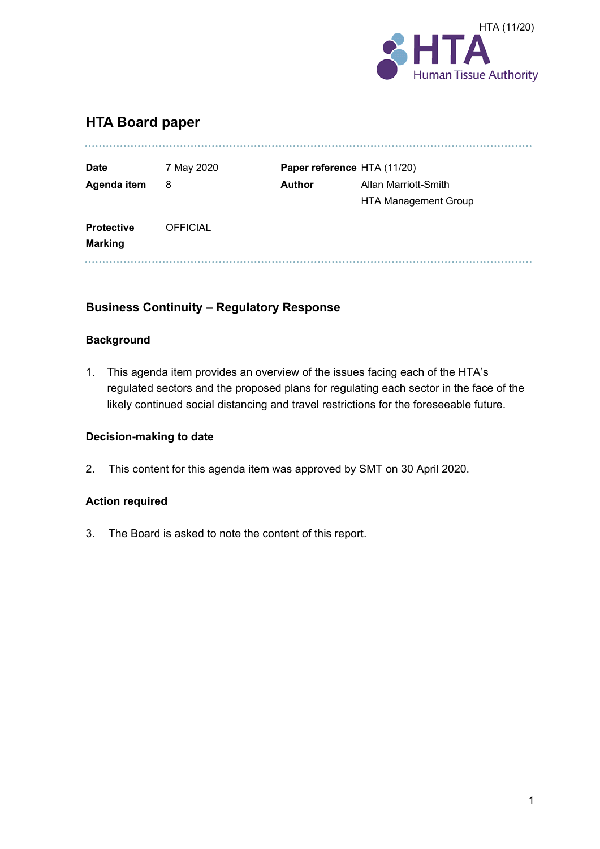

### **HTA Board paper**

| <b>Date</b>       | 7 May 2020      |               | Paper reference HTA (11/20) |
|-------------------|-----------------|---------------|-----------------------------|
| Agenda item       | 8               | <b>Author</b> | Allan Marriott-Smith        |
|                   |                 |               | <b>HTA Management Group</b> |
| <b>Protective</b> | <b>OFFICIAL</b> |               |                             |
| <b>Marking</b>    |                 |               |                             |

#### **Business Continuity – Regulatory Response**

#### **Background**

1. This agenda item provides an overview of the issues facing each of the HTA's regulated sectors and the proposed plans for regulating each sector in the face of the likely continued social distancing and travel restrictions for the foreseeable future.

#### **Decision-making to date**

2. This content for this agenda item was approved by SMT on 30 April 2020.

#### **Action required**

3. The Board is asked to note the content of this report.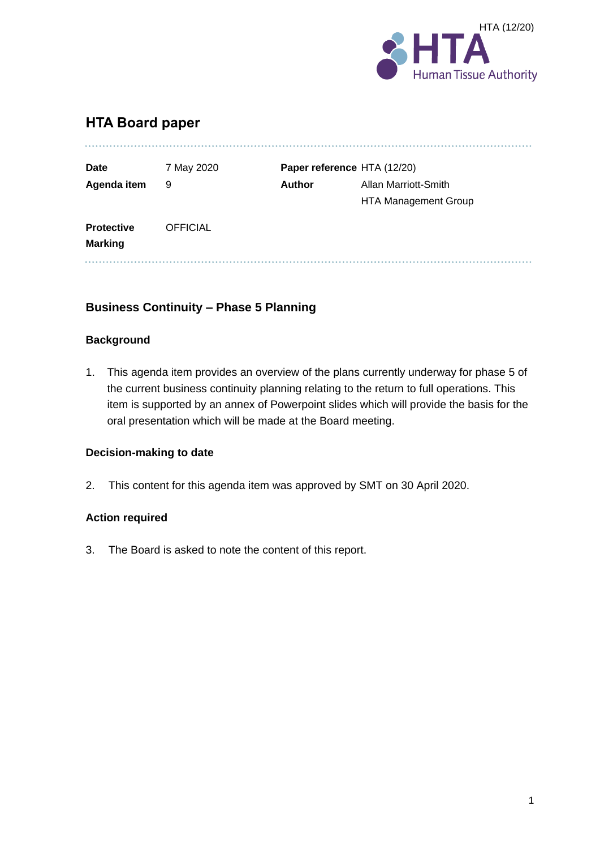

### **HTA Board paper**

| <b>Date</b>                         | 7 May 2020      |               | Paper reference HTA (12/20) |
|-------------------------------------|-----------------|---------------|-----------------------------|
| Agenda item                         | 9               | <b>Author</b> | Allan Marriott-Smith        |
|                                     |                 |               | <b>HTA Management Group</b> |
| <b>Protective</b><br><b>Marking</b> | <b>OFFICIAL</b> |               |                             |

#### **Business Continuity – Phase 5 Planning**

#### **Background**

1. This agenda item provides an overview of the plans currently underway for phase 5 of the current business continuity planning relating to the return to full operations. This item is supported by an annex of Powerpoint slides which will provide the basis for the oral presentation which will be made at the Board meeting.

#### **Decision-making to date**

2. This content for this agenda item was approved by SMT on 30 April 2020.

#### **Action required**

3. The Board is asked to note the content of this report.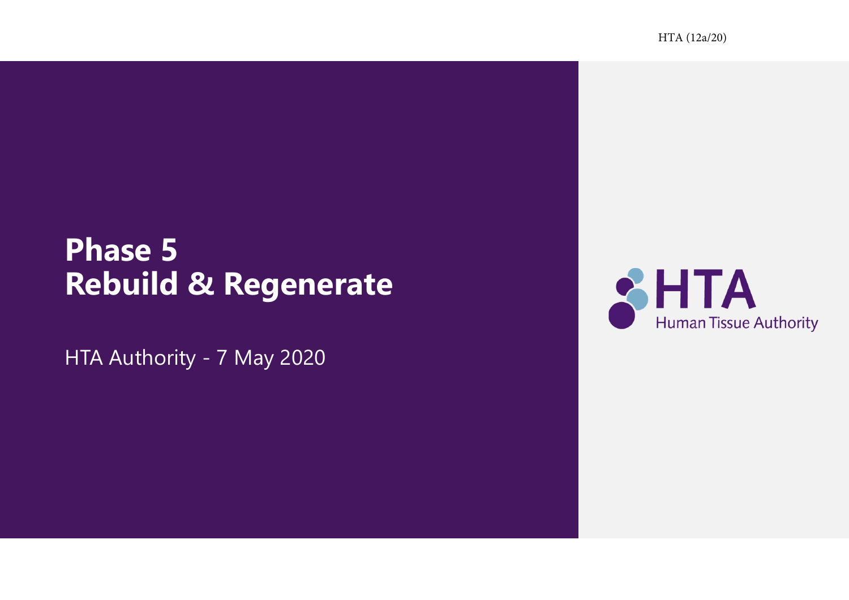HTA (12a/20)

# **Phase 5 Rebuild & Regenerate**

HTA Authority - 7 May 2020

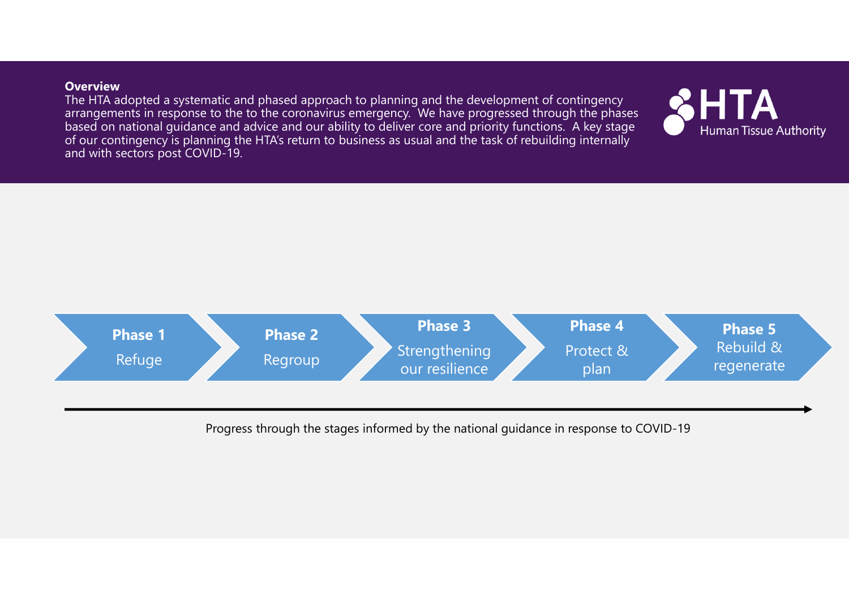#### **Overview**

The HTA adopted a systematic and phased approach to planning and the development of contingency arrangements in response to the to the coronavirus emergency. We have progressed through the phases based on national guidance and advice and our ability to deliver core and priority functions. A key stage of our contingency is planning the HTA's return to business as usual and the task of rebuilding internally and with sectors post COVID-19.



Progress through the stages informed by the national guidance in response to COVID-19

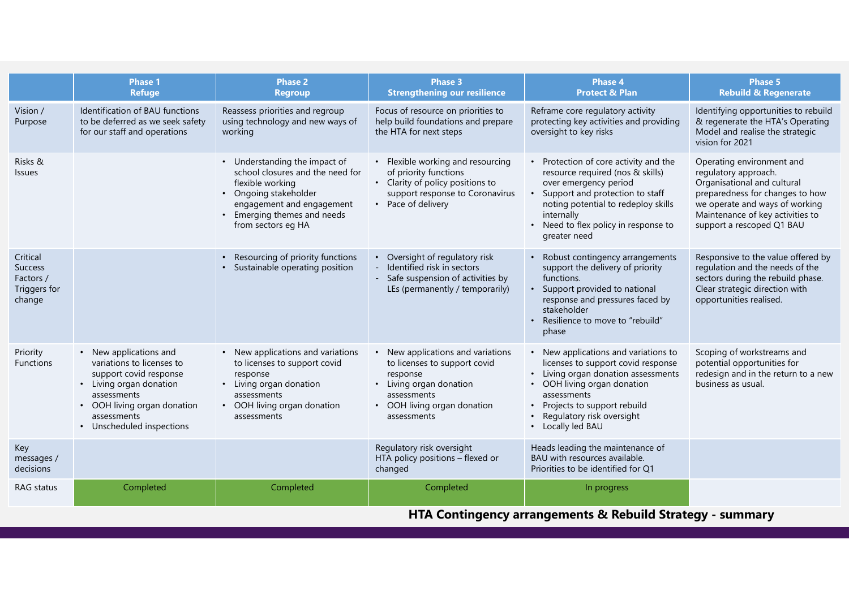|                                                                   | <b>Phase 1</b><br><b>Refuge</b>                                                                                                                                                                  | <b>Phase 2</b><br><b>Regroup</b>                                                                                                                                                                 | <b>Phase 3</b><br><b>Strengthening our resilience</b>                                                                                                                 | <b>Phase 4</b><br><b>Protect &amp; Plan</b>                                                                                                                                                                                                        | Phase 5<br><b>Rebuild &amp; Regenerate</b>                                                                                                                                                                             |
|-------------------------------------------------------------------|--------------------------------------------------------------------------------------------------------------------------------------------------------------------------------------------------|--------------------------------------------------------------------------------------------------------------------------------------------------------------------------------------------------|-----------------------------------------------------------------------------------------------------------------------------------------------------------------------|----------------------------------------------------------------------------------------------------------------------------------------------------------------------------------------------------------------------------------------------------|------------------------------------------------------------------------------------------------------------------------------------------------------------------------------------------------------------------------|
| Vision /<br>Purpose                                               | Identification of BAU functions<br>to be deferred as we seek safety<br>for our staff and operations                                                                                              | Reassess priorities and regroup<br>using technology and new ways of<br>working                                                                                                                   | Focus of resource on priorities to<br>help build foundations and prepare<br>the HTA for next steps                                                                    | Reframe core regulatory activity<br>protecting key activities and providing<br>oversight to key risks                                                                                                                                              | Identifying opportunities to rebuild<br>& regenerate the HTA's Operating<br>Model and realise the strategic<br>vision for 2021                                                                                         |
| Risks &<br><b>Issues</b>                                          |                                                                                                                                                                                                  | • Understanding the impact of<br>school closures and the need for<br>flexible working<br>• Ongoing stakeholder<br>engagement and engagement<br>• Emerging themes and needs<br>from sectors eg HA | • Flexible working and resourcing<br>of priority functions<br>• Clarity of policy positions to<br>support response to Coronavirus<br>• Pace of delivery               | • Protection of core activity and the<br>resource required (nos & skills)<br>over emergency period<br>Support and protection to staff<br>noting potential to redeploy skills<br>internally<br>• Need to flex policy in response to<br>greater need | Operating environment and<br>regulatory approach.<br>Organisational and cultural<br>preparedness for changes to how<br>we operate and ways of working<br>Maintenance of key activities to<br>support a rescoped Q1 BAU |
| Critical<br><b>Success</b><br>Factors /<br>Triggers for<br>change |                                                                                                                                                                                                  | Resourcing of priority functions<br>• Sustainable operating position                                                                                                                             | • Oversight of regulatory risk<br>Identified risk in sectors<br>- Safe suspension of activities by<br>LEs (permanently / temporarily)                                 | • Robust contingency arrangements<br>support the delivery of priority<br>functions.<br>• Support provided to national<br>response and pressures faced by<br>stakeholder<br>• Resilience to move to "rebuild"<br>phase                              | Responsive to the value offered by<br>regulation and the needs of the<br>sectors during the rebuild phase.<br>Clear strategic direction with<br>opportunities realised.                                                |
| Priority<br><b>Functions</b>                                      | • New applications and<br>variations to licenses to<br>support covid response<br>• Living organ donation<br>assessments<br>OOH living organ donation<br>assessments<br>• Unscheduled inspections | • New applications and variations<br>to licenses to support covid<br>response<br>• Living organ donation<br>assessments<br>• OOH living organ donation<br>assessments                            | • New applications and variations<br>to licenses to support covid<br>response<br>• Living organ donation<br>assessments<br>• OOH living organ donation<br>assessments | • New applications and variations to<br>licenses to support covid response<br>• Living organ donation assessments<br>• OOH living organ donation<br>assessments<br>• Projects to support rebuild<br>Regulatory risk oversight<br>• Locally led BAU | Scoping of workstreams and<br>potential opportunities for<br>redesign and in the return to a new<br>business as usual.                                                                                                 |
| Key<br>messages /<br>decisions                                    |                                                                                                                                                                                                  |                                                                                                                                                                                                  | Regulatory risk oversight<br>HTA policy positions - flexed or<br>changed                                                                                              | Heads leading the maintenance of<br>BAU with resources available.<br>Priorities to be identified for Q1                                                                                                                                            |                                                                                                                                                                                                                        |
| RAG status                                                        | Completed                                                                                                                                                                                        | Completed                                                                                                                                                                                        | Completed                                                                                                                                                             | In progress                                                                                                                                                                                                                                        |                                                                                                                                                                                                                        |

**HTA Contingency arrangements & Rebuild Strategy - summary**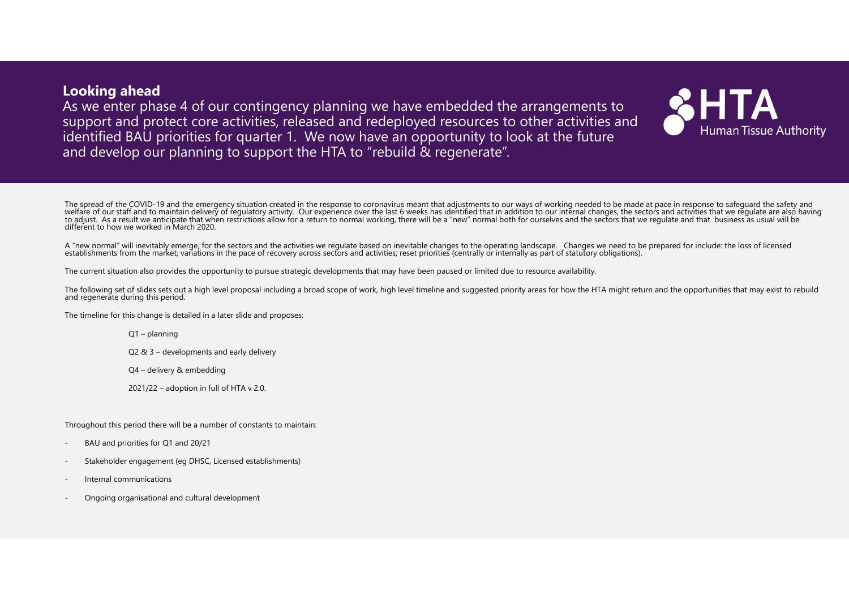**Looking ahead** As we enter phase 4 of our contingency planning we have embedded the arrangements to support and protect core activities, released and redeployed resources to other activities and identified BAU priorities for quarter 1. We now have an opportunity to look at the future and develop our planning to support the HTA to "rebuild & regenerate".



The spread of the COVID-19 and the emergency situation created in the response to coronavirus meant that adjustments to our ways of working needed to be made at pace in response to safeguard the safety and<br>welfare of our s

A "new normal" will inevitably emerge, for the sectors and the activities we regulate based on inevitable changes to the operating landscape. Changes we need to be prepared for include: the loss of licensed establishments

The current situation also provides the opportunity to pursue strategic developments that may have been paused or limited due to resource availability.

The following set of slides sets out a high level proposal including a broad scope of work, high level timeline and suggested priority areas for how the HTA might return and the opportunities that may exist to rebuild and

The timeline for this change is detailed in a later slide and proposes:

Q1 – planning

Q2 & 3 – developments and early delivery

Q4 – delivery & embedding

2021/22 – adoption in full of HTA v 2.0.

Throughout this period there will be a number of constants to maintain:

- BAU and priorities for Q1 and 20/21
- Stakeholder engagement (eg DHSC, Licensed establishments)
- Internal communications
- Ongoing organisational and cultural development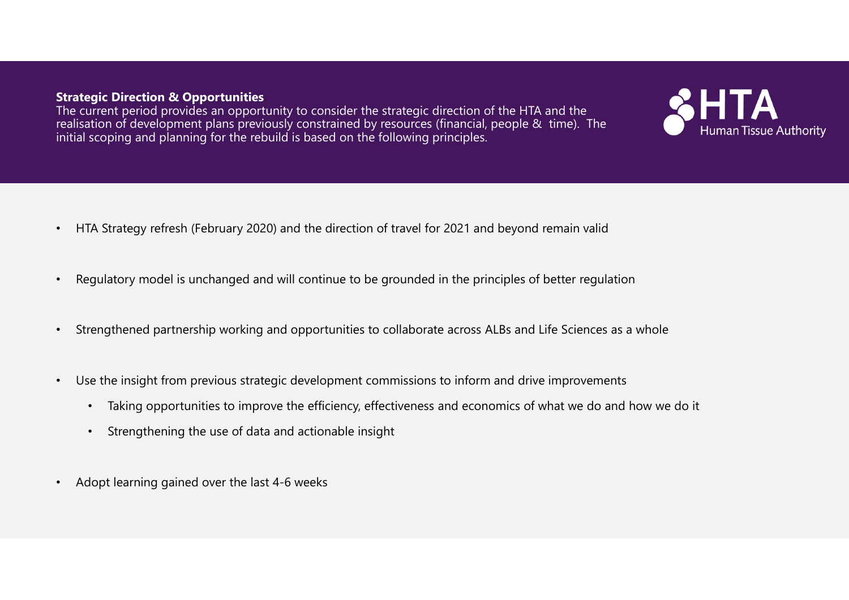#### **Strategic Direction & Opportunities**

The current period provides an opportunity to consider the strategic direction of the HTA and the realisation of development plans previously constrained by resources (financial, people & time). The initial scoping and planning for the rebuild is based on the following principles.



- •Regulatory model is unchanged and will continue to be grounded in the principles of better regulation
- •Strengthened partnership working and opportunities to collaborate across ALBs and Life Sciences as a whole
- Use the insight from previous strategic development commissions to inform and drive improvements
	- Taking opportunities to improve the efficiency, effectiveness and economics of what we do and how we do it
	- •Strengthening the use of data and actionable insight
- •Adopt learning gained over the last 4-6 weeks

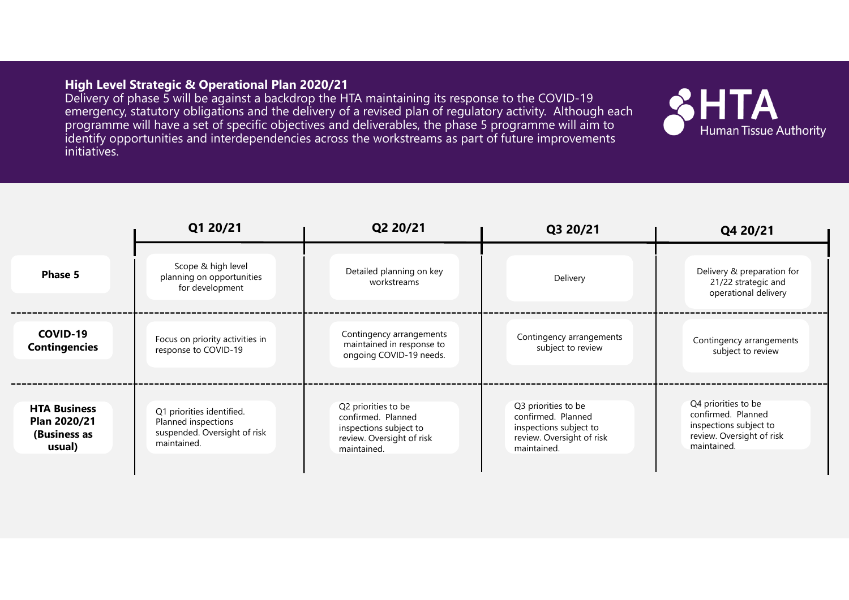#### **High Level Strategic & Operational Plan 2020/21**

Delivery of phase 5 will be against a backdrop the HTA maintaining its response to the COVID-19 emergency, statutory obligations and the delivery of a revised plan of regulatory activity. Although each programme will have a set of specific objectives and deliverables, the phase 5 programme will aim to identify opportunities and interdependencies across the workstreams as part of future improvements initiatives.



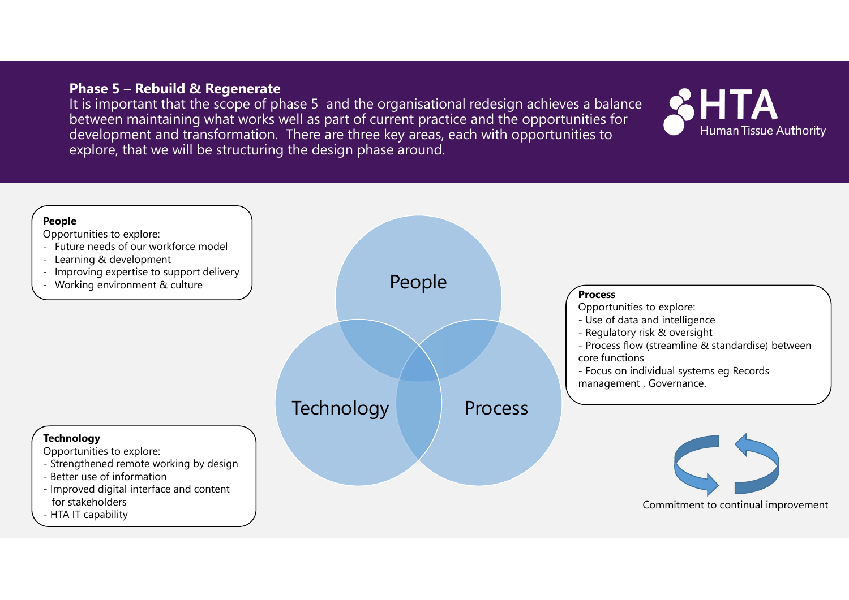#### **Phase 5 – Rebuild & Regenerate**

It is important that the scope of phase 5 and the organisational redesign achieves a balance between maintaining what works well as part of current practice and the opportunities for development and transformation. There are three key areas, each with opportunities to explore, that we will be structuring the design phase around.